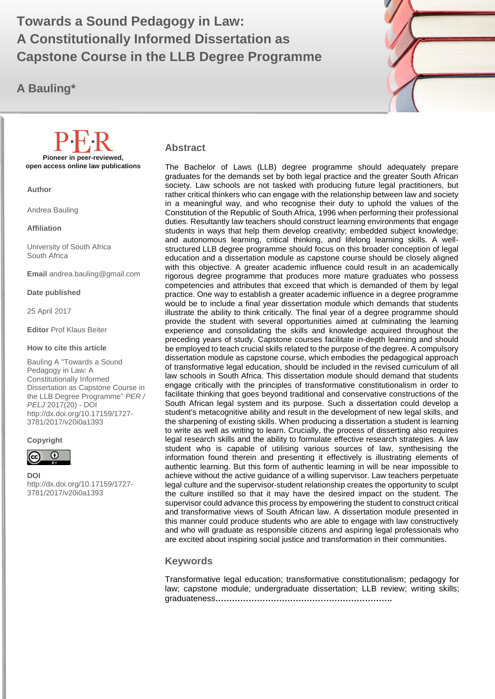# **A Constitutionally Informed Dissertation as**  $\begin{array}{ccc} \bullet & \bullet & \bullet \end{array}$ **Towards a Sound Pedagogy in Law: Capstone Course in the LLB Degree Programme**

# **A Bauling\***



#### **Abstract**

The Bachelor of Laws (LLB) degree programme should adequately prepare graduates for the demands set by both legal practice and the greater South African society. Law schools are not tasked with producing future legal practitioners, but rather critical thinkers who can engage with the relationship between law and society in a meaningful way, and who recognise their duty to uphold the values of the Constitution of the Republic of South Africa, 1996 when performing their professional duties. Resultantly law teachers should construct learning environments that engage students in ways that help them develop creativity; embedded subject knowledge; and autonomous learning, critical thinking, and lifelong learning skills. A wellstructured LLB degree programme should focus on this broader conception of legal education and a dissertation module as capstone course should be closely aligned with this objective. A greater academic influence could result in an academically rigorous degree programme that produces more mature graduates who possess competencies and attributes that exceed that which is demanded of them by legal practice. One way to establish a greater academic influence in a degree programme would be to include a final year dissertation module which demands that students illustrate the ability to think critically. The final year of a degree programme should provide the student with several opportunities aimed at culminating the learning experience and consolidating the skills and knowledge acquired throughout the preceding years of study. Capstone courses facilitate in-depth learning and should be employed to teach crucial skills related to the purpose of the degree. A compulsory dissertation module as capstone course, which embodies the pedagogical approach of transformative legal education, should be included in the revised curriculum of all law schools in South Africa. This dissertation module should demand that students engage critically with the principles of transformative constitutionalism in order to facilitate thinking that goes beyond traditional and conservative constructions of the South African legal system and its purpose. Such a dissertation could develop a student's metacognitive ability and result in the development of new legal skills, and the sharpening of existing skills. When producing a dissertation a student is learning to write as well as writing to learn. Crucially, the process of disserting also requires legal research skills and the ability to formulate effective research strategies. A law student who is capable of utilising various sources of law, synthesising the information found therein and presenting it effectively is illustrating elements of authentic learning. But this form of authentic learning in will be near impossible to achieve without the active guidance of a willing supervisor. Law teachers perpetuate legal culture and the supervisor-student relationship creates the opportunity to sculpt the culture instilled so that it may have the desired impact on the student. The supervisor could advance this process by empowering the student to construct critical and transformative views of South African law. A dissertation module presented in this manner could produce students who are able to engage with law constructively and who will graduate as responsible citizens and aspiring legal professionals who are excited about inspiring social justice and transformation in their communities.

#### **Keywords**

Transformative legal education; transformative constitutionalism; pedagogy for law; capstone module; undergraduate dissertation; LLB review; writing skills; graduateness**……………………………………………………….**

**Pioneer in peer-reviewed, open access online law publications**

**Author**

Andrea Bauling

**Affiliation**

University of South Africa South Africa

**Email** andrea.bauling@gmail.com

**Date published**

25 April 2017

**Editor** Prof Klaus Beiter

**How to cite this article** 

Bauling A "Towards a Sound Pedagogy in Law: A Constitutionally Informed Dissertation as Capstone Course in the LLB Degree Programme" *PER / PELJ* 2017(20) - DOI http://dx.doi.org/10.17159/1727- 3781/2017/v20i0a[1393](http://journals.assaf.org.za/index.php/per/editor/submission/1160) 

**Copyright**



**DOI** 

http://dx.doi.org/10.17159/1727- 3781/2017/v20i0a[1393](http://journals.assaf.org.za/index.php/per/editor/submission/1160)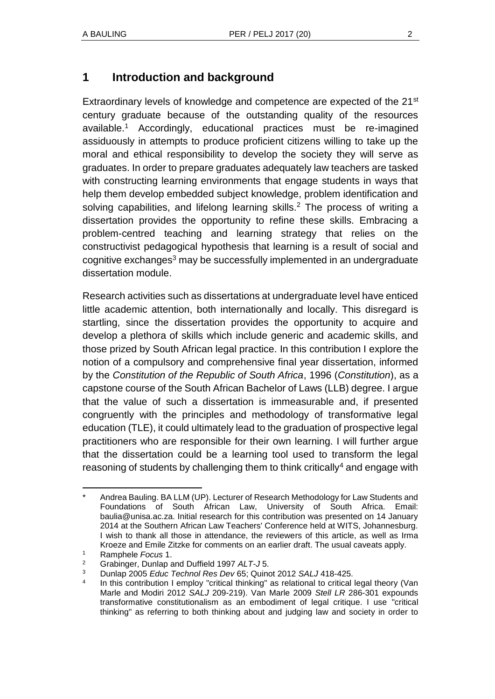# **1 Introduction and background**

Extraordinary levels of knowledge and competence are expected of the 21<sup>st</sup> century graduate because of the outstanding quality of the resources available.<sup>1</sup> Accordingly, educational practices must be re-imagined assiduously in attempts to produce proficient citizens willing to take up the moral and ethical responsibility to develop the society they will serve as graduates. In order to prepare graduates adequately law teachers are tasked with constructing learning environments that engage students in ways that help them develop embedded subject knowledge, problem identification and solving capabilities, and lifelong learning skills.<sup>2</sup> The process of writing a dissertation provides the opportunity to refine these skills. Embracing a problem-centred teaching and learning strategy that relies on the constructivist pedagogical hypothesis that learning is a result of social and cognitive exchanges<sup>3</sup> may be successfully implemented in an undergraduate dissertation module.

Research activities such as dissertations at undergraduate level have enticed little academic attention, both internationally and locally. This disregard is startling, since the dissertation provides the opportunity to acquire and develop a plethora of skills which include generic and academic skills, and those prized by South African legal practice. In this contribution I explore the notion of a compulsory and comprehensive final year dissertation, informed by the *Constitution of the Republic of South Africa*, 1996 (*Constitution*), as a capstone course of the South African Bachelor of Laws (LLB) degree. I argue that the value of such a dissertation is immeasurable and, if presented congruently with the principles and methodology of transformative legal education (TLE), it could ultimately lead to the graduation of prospective legal practitioners who are responsible for their own learning. I will further argue that the dissertation could be a learning tool used to transform the legal reasoning of students by challenging them to think critically<sup>4</sup> and engage with

l Andrea Bauling. BA LLM (UP). Lecturer of Research Methodology for Law Students and Foundations of South African Law, University of South Africa. Email: baulia@unisa.ac.za. Initial research for this contribution was presented on 14 January 2014 at the Southern African Law Teachers' Conference held at WITS, Johannesburg. I wish to thank all those in attendance, the reviewers of this article, as well as Irma Kroeze and Emile Zitzke for comments on an earlier draft. The usual caveats apply.

<sup>1</sup> Ramphele *Focus* 1.

<sup>2</sup> Grabinger, Dunlap and Duffield 1997 *ALT-J* 5.

<sup>3</sup> Dunlap 2005 *Educ Technol Res Dev* 65; Quinot 2012 *SALJ* 418-425.

<sup>4</sup> In this contribution I employ "critical thinking" as relational to critical legal theory (Van Marle and Modiri 2012 *SALJ* 209-219). Van Marle 2009 *Stell LR* 286-301 expounds transformative constitutionalism as an embodiment of legal critique. I use "critical thinking" as referring to both thinking about and judging law and society in order to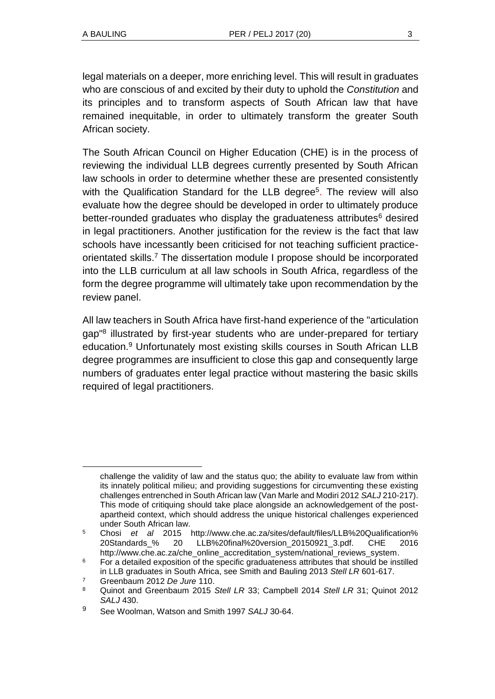legal materials on a deeper, more enriching level. This will result in graduates who are conscious of and excited by their duty to uphold the *Constitution* and its principles and to transform aspects of South African law that have remained inequitable, in order to ultimately transform the greater South African society.

The South African Council on Higher Education (CHE) is in the process of reviewing the individual LLB degrees currently presented by South African law schools in order to determine whether these are presented consistently with the Qualification Standard for the LLB degree<sup>5</sup>. The review will also evaluate how the degree should be developed in order to ultimately produce better-rounded graduates who display the graduateness attributes $6$  desired in legal practitioners. Another justification for the review is the fact that law schools have incessantly been criticised for not teaching sufficient practiceorientated skills.<sup>7</sup> The dissertation module I propose should be incorporated into the LLB curriculum at all law schools in South Africa, regardless of the form the degree programme will ultimately take upon recommendation by the review panel.

All law teachers in South Africa have first-hand experience of the "articulation gap<sup>"8</sup> illustrated by first-year students who are under-prepared for tertiary education.<sup>9</sup> Unfortunately most existing skills courses in South African LLB degree programmes are insufficient to close this gap and consequently large numbers of graduates enter legal practice without mastering the basic skills required of legal practitioners.

challenge the validity of law and the status quo; the ability to evaluate law from within its innately political milieu; and providing suggestions for circumventing these existing challenges entrenched in South African law (Van Marle and Modiri 2012 *SALJ* 210-217). This mode of critiquing should take place alongside an acknowledgement of the postapartheid context, which should address the unique historical challenges experienced under South African law.

<sup>5</sup> Chosi *et al* 2015 http://www.che.ac.za/sites/default/files/LLB%20Qualification% 20Standards\_% 20 LLB%20final%20version\_20150921\_3.pdf. CHE 2016 http://www.che.ac.za/che\_online\_accreditation\_system/national\_reviews\_system.

 $6$  For a detailed exposition of the specific graduateness attributes that should be instilled in LLB graduates in South Africa, see Smith and Bauling 2013 *Stell LR* 601-617.

<sup>7</sup> Greenbaum 2012 *De Jure* 110.

<sup>8</sup> Quinot and Greenbaum 2015 *Stell LR* 33; Campbell 2014 *Stell LR* 31; Quinot 2012 *SALJ* 430.

<sup>9</sup> See Woolman, Watson and Smith 1997 *SALJ* 30-64.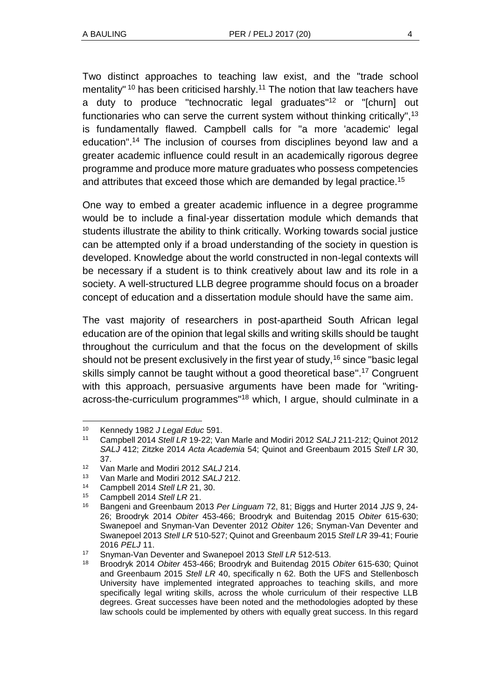Two distinct approaches to teaching law exist, and the "trade school mentality" <sup>10</sup> has been criticised harshly.<sup>11</sup> The notion that law teachers have a duty to produce "technocratic legal graduates" <sup>12</sup> or "[churn] out functionaries who can serve the current system without thinking critically",<sup>13</sup> is fundamentally flawed. Campbell calls for "a more 'academic' legal education". <sup>14</sup> The inclusion of courses from disciplines beyond law and a greater academic influence could result in an academically rigorous degree programme and produce more mature graduates who possess competencies and attributes that exceed those which are demanded by legal practice.<sup>15</sup>

One way to embed a greater academic influence in a degree programme would be to include a final-year dissertation module which demands that students illustrate the ability to think critically. Working towards social justice can be attempted only if a broad understanding of the society in question is developed. Knowledge about the world constructed in non-legal contexts will be necessary if a student is to think creatively about law and its role in a society. A well-structured LLB degree programme should focus on a broader concept of education and a dissertation module should have the same aim.

The vast majority of researchers in post-apartheid South African legal education are of the opinion that legal skills and writing skills should be taught throughout the curriculum and that the focus on the development of skills should not be present exclusively in the first year of study,  $16$  since "basic legal skills simply cannot be taught without a good theoretical base". <sup>17</sup> Congruent with this approach, persuasive arguments have been made for "writingacross-the-curriculum programmes<sup>"18</sup> which, I argue, should culminate in a

<sup>10</sup> Kennedy 1982 *J Legal Educ* 591.

<sup>11</sup> Campbell 2014 *Stell LR* 19-22; Van Marle and Modiri 2012 *SALJ* 211-212; Quinot 2012 *SALJ* 412; Zitzke 2014 *Acta Academia* 54; Quinot and Greenbaum 2015 *Stell LR* 30, 37.

<sup>12</sup> Van Marle and Modiri 2012 *SALJ* 214.

<sup>13</sup> Van Marle and Modiri 2012 *SALJ* 212.

<sup>14</sup> Campbell 2014 *Stell LR* 21, 30.

<sup>15</sup> Campbell 2014 *Stell LR* 21.

<sup>16</sup> Bangeni and Greenbaum 2013 *Per Linguam* 72, 81; Biggs and Hurter 2014 *JJS* 9, 24- 26; Broodryk 2014 *Obiter* 453-466; Broodryk and Buitendag 2015 *Obiter* 615-630; Swanepoel and Snyman-Van Deventer 2012 *Obiter* 126; Snyman-Van Deventer and Swanepoel 2013 *Stell LR* 510-527; Quinot and Greenbaum 2015 *Stell LR* 39-41; Fourie 2016 *PELJ* 11.

<sup>17</sup> Snyman-Van Deventer and Swanepoel 2013 *Stell LR* 512-513.

<sup>18</sup> Broodryk 2014 *Obiter* 453-466; Broodryk and Buitendag 2015 *Obiter* 615-630; Quinot and Greenbaum 2015 *Stell LR* 40, specifically n 62. Both the UFS and Stellenbosch University have implemented integrated approaches to teaching skills, and more specifically legal writing skills, across the whole curriculum of their respective LLB degrees. Great successes have been noted and the methodologies adopted by these law schools could be implemented by others with equally great success. In this regard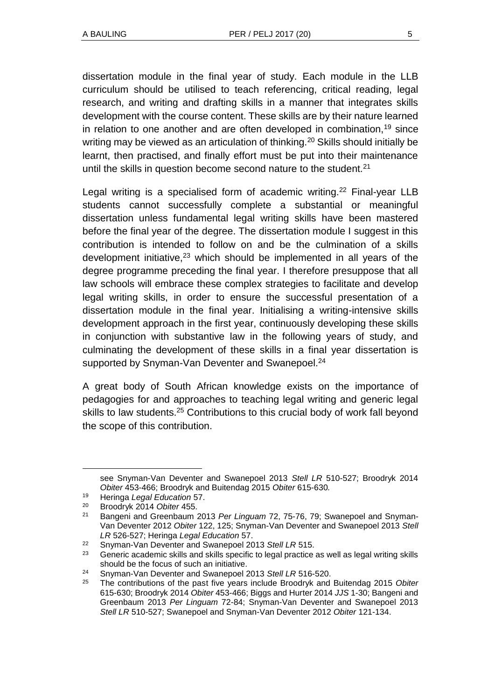dissertation module in the final year of study. Each module in the LLB curriculum should be utilised to teach referencing, critical reading, legal research, and writing and drafting skills in a manner that integrates skills development with the course content. These skills are by their nature learned in relation to one another and are often developed in combination,<sup>19</sup> since writing may be viewed as an articulation of thinking.<sup>20</sup> Skills should initially be learnt, then practised, and finally effort must be put into their maintenance until the skills in question become second nature to the student.<sup>21</sup>

Legal writing is a specialised form of academic writing.<sup>22</sup> Final-year LLB students cannot successfully complete a substantial or meaningful dissertation unless fundamental legal writing skills have been mastered before the final year of the degree. The dissertation module I suggest in this contribution is intended to follow on and be the culmination of a skills development initiative, $23$  which should be implemented in all years of the degree programme preceding the final year. I therefore presuppose that all law schools will embrace these complex strategies to facilitate and develop legal writing skills, in order to ensure the successful presentation of a dissertation module in the final year. Initialising a writing-intensive skills development approach in the first year, continuously developing these skills in conjunction with substantive law in the following years of study, and culminating the development of these skills in a final year dissertation is supported by Snyman-Van Deventer and Swanepoel.<sup>24</sup>

A great body of South African knowledge exists on the importance of pedagogies for and approaches to teaching legal writing and generic legal skills to law students.<sup>25</sup> Contributions to this crucial body of work fall beyond the scope of this contribution.

see Snyman-Van Deventer and Swanepoel 2013 *Stell LR* 510-527; Broodryk 2014 *Obiter* 453-466; Broodryk and Buitendag 2015 *Obiter* 615-630*.*

<sup>19</sup> Heringa *Legal Education* 57.

<sup>20</sup> Broodryk 2014 *Obiter* 455.

<sup>21</sup> Bangeni and Greenbaum 2013 *Per Linguam* 72, 75-76, 79; Swanepoel and Snyman-Van Deventer 2012 *Obiter* 122, 125; Snyman-Van Deventer and Swanepoel 2013 *Stell LR* 526-527; Heringa *Legal Education* 57.

<sup>22</sup> Snyman-Van Deventer and Swanepoel 2013 *Stell LR* 515.

 $23$  Generic academic skills and skills specific to legal practice as well as legal writing skills should be the focus of such an initiative.

<sup>24</sup> Snyman-Van Deventer and Swanepoel 2013 *Stell LR* 516-520.

<sup>25</sup> The contributions of the past five years include Broodryk and Buitendag 2015 *Obiter*  615-630; Broodryk 2014 *Obiter* 453-466; Biggs and Hurter 2014 *JJS* 1-30; Bangeni and Greenbaum 2013 *Per Linguam* 72-84; Snyman-Van Deventer and Swanepoel 2013 *Stell LR* 510-527; Swanepoel and Snyman-Van Deventer 2012 *Obiter* 121-134.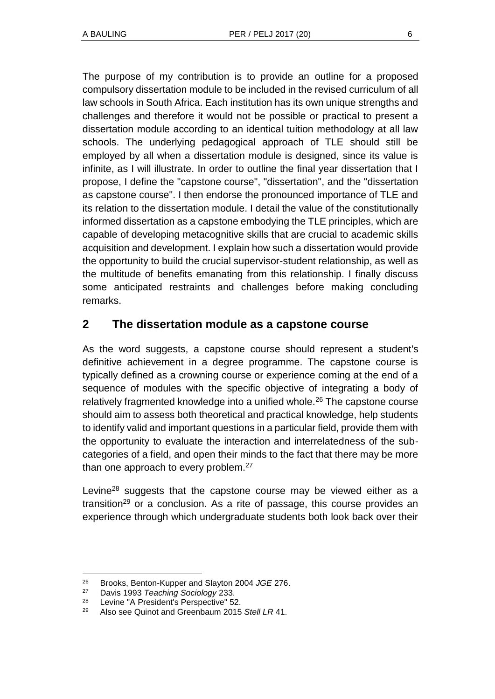The purpose of my contribution is to provide an outline for a proposed compulsory dissertation module to be included in the revised curriculum of all law schools in South Africa. Each institution has its own unique strengths and challenges and therefore it would not be possible or practical to present a dissertation module according to an identical tuition methodology at all law schools. The underlying pedagogical approach of TLE should still be employed by all when a dissertation module is designed, since its value is infinite, as I will illustrate. In order to outline the final year dissertation that I propose, I define the "capstone course", "dissertation", and the "dissertation as capstone course". I then endorse the pronounced importance of TLE and its relation to the dissertation module. I detail the value of the constitutionally informed dissertation as a capstone embodying the TLE principles, which are capable of developing metacognitive skills that are crucial to academic skills acquisition and development. I explain how such a dissertation would provide the opportunity to build the crucial supervisor-student relationship, as well as the multitude of benefits emanating from this relationship. I finally discuss some anticipated restraints and challenges before making concluding remarks.

### **2 The dissertation module as a capstone course**

As the word suggests, a capstone course should represent a student's definitive achievement in a degree programme. The capstone course is typically defined as a crowning course or experience coming at the end of a sequence of modules with the specific objective of integrating a body of relatively fragmented knowledge into a unified whole.<sup>26</sup> The capstone course should aim to assess both theoretical and practical knowledge, help students to identify valid and important questions in a particular field, provide them with the opportunity to evaluate the interaction and interrelatedness of the subcategories of a field, and open their minds to the fact that there may be more than one approach to every problem.<sup>27</sup>

Levine<sup>28</sup> suggests that the capstone course may be viewed either as a transition<sup>29</sup> or a conclusion. As a rite of passage, this course provides an experience through which undergraduate students both look back over their

l <sup>26</sup> Brooks, Benton-Kupper and Slayton 2004 *JGE* 276.

<sup>27</sup> Davis 1993 *Teaching Sociology* 233.

<sup>28</sup> Levine "A President's Perspective" 52.

<sup>29</sup> Also see Quinot and Greenbaum 2015 *Stell LR* 41.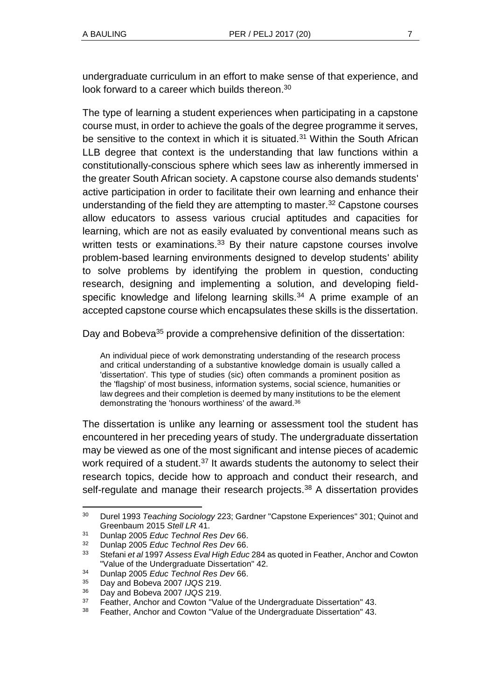undergraduate curriculum in an effort to make sense of that experience, and look forward to a career which builds thereon.<sup>30</sup>

The type of learning a student experiences when participating in a capstone course must, in order to achieve the goals of the degree programme it serves, be sensitive to the context in which it is situated.<sup>31</sup> Within the South African LLB degree that context is the understanding that law functions within a constitutionally-conscious sphere which sees law as inherently immersed in the greater South African society. A capstone course also demands students' active participation in order to facilitate their own learning and enhance their understanding of the field they are attempting to master.<sup>32</sup> Capstone courses allow educators to assess various crucial aptitudes and capacities for learning, which are not as easily evaluated by conventional means such as written tests or examinations.<sup>33</sup> By their nature capstone courses involve problem-based learning environments designed to develop students' ability to solve problems by identifying the problem in question, conducting research, designing and implementing a solution, and developing fieldspecific knowledge and lifelong learning skills.<sup>34</sup> A prime example of an accepted capstone course which encapsulates these skills is the dissertation.

Day and Bobeva<sup>35</sup> provide a comprehensive definition of the dissertation:

An individual piece of work demonstrating understanding of the research process and critical understanding of a substantive knowledge domain is usually called a 'dissertation'. This type of studies (sic) often commands a prominent position as the 'flagship' of most business, information systems, social science, humanities or law degrees and their completion is deemed by many institutions to be the element demonstrating the 'honours worthiness' of the award.<sup>36</sup>

The dissertation is unlike any learning or assessment tool the student has encountered in her preceding years of study. The undergraduate dissertation may be viewed as one of the most significant and intense pieces of academic work required of a student.<sup>37</sup> It awards students the autonomy to select their research topics, decide how to approach and conduct their research, and self-regulate and manage their research projects.<sup>38</sup> A dissertation provides

<sup>30</sup> Durel 1993 *Teaching Sociology* 223; Gardner "Capstone Experiences" 301; Quinot and Greenbaum 2015 *Stell LR* 41.

<sup>31</sup> Dunlap 2005 *Educ Technol Res Dev* 66.

<sup>32</sup> Dunlap 2005 *Educ Technol Res Dev* 66.

<sup>33</sup> Stefani *et al* 1997 *Assess Eval High Educ* 284 as quoted in Feather, Anchor and Cowton "Value of the Undergraduate Dissertation" 42.

<sup>34</sup> Dunlap 2005 *Educ Technol Res Dev* 66.

<sup>35</sup> Day and Bobeva 2007 *IJQS* 219.

<sup>36</sup> Day and Bobeva 2007 *IJQS* 219.

<sup>&</sup>lt;sup>37</sup> Feather, Anchor and Cowton "Value of the Undergraduate Dissertation" 43.

<sup>38</sup> Feather, Anchor and Cowton "Value of the Undergraduate Dissertation" 43.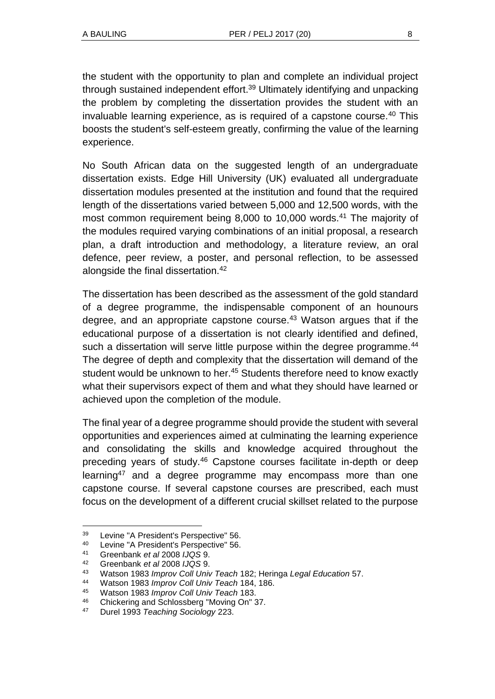the student with the opportunity to plan and complete an individual project through sustained independent effort.<sup>39</sup> Ultimately identifying and unpacking the problem by completing the dissertation provides the student with an invaluable learning experience, as is required of a capstone course.<sup>40</sup> This boosts the student's self-esteem greatly, confirming the value of the learning experience.

No South African data on the suggested length of an undergraduate dissertation exists. Edge Hill University (UK) evaluated all undergraduate dissertation modules presented at the institution and found that the required length of the dissertations varied between 5,000 and 12,500 words, with the most common requirement being 8,000 to 10,000 words.<sup>41</sup> The majority of the modules required varying combinations of an initial proposal, a research plan, a draft introduction and methodology, a literature review, an oral defence, peer review, a poster, and personal reflection, to be assessed alongside the final dissertation.<sup>42</sup>

The dissertation has been described as the assessment of the gold standard of a degree programme, the indispensable component of an hounours degree, and an appropriate capstone course.<sup>43</sup> Watson argues that if the educational purpose of a dissertation is not clearly identified and defined, such a dissertation will serve little purpose within the degree programme.<sup>44</sup> The degree of depth and complexity that the dissertation will demand of the student would be unknown to her.<sup>45</sup> Students therefore need to know exactly what their supervisors expect of them and what they should have learned or achieved upon the completion of the module.

The final year of a degree programme should provide the student with several opportunities and experiences aimed at culminating the learning experience and consolidating the skills and knowledge acquired throughout the preceding years of study.<sup>46</sup> Capstone courses facilitate in-depth or deep learning<sup>47</sup> and a degree programme may encompass more than one capstone course. If several capstone courses are prescribed, each must focus on the development of a different crucial skillset related to the purpose

<sup>39</sup> Levine "A President's Perspective" 56.

<sup>40</sup> Levine "A President's Perspective" 56.

<sup>41</sup> Greenbank *et al* 2008 *IJQS* 9.

<sup>42</sup> Greenbank *et al* 2008 *IJQS* 9.

<sup>43</sup> Watson 1983 *Improv Coll Univ Teach* 182; Heringa *Legal Education* 57.

<sup>44</sup> Watson 1983 *Improv Coll Univ Teach* 184, 186.

<sup>45</sup> Watson 1983 *Improv Coll Univ Teach* 183.

<sup>46</sup> Chickering and Schlossberg "Moving On" 37.

<sup>47</sup> Durel 1993 *Teaching Sociology* 223.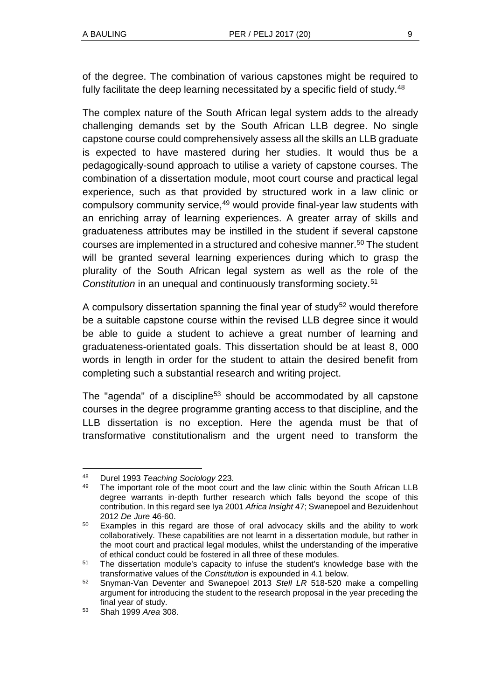of the degree. The combination of various capstones might be required to fully facilitate the deep learning necessitated by a specific field of study.<sup>48</sup>

The complex nature of the South African legal system adds to the already challenging demands set by the South African LLB degree. No single capstone course could comprehensively assess all the skills an LLB graduate is expected to have mastered during her studies. It would thus be a pedagogically-sound approach to utilise a variety of capstone courses. The combination of a dissertation module, moot court course and practical legal experience, such as that provided by structured work in a law clinic or compulsory community service,<sup>49</sup> would provide final-year law students with an enriching array of learning experiences. A greater array of skills and graduateness attributes may be instilled in the student if several capstone courses are implemented in a structured and cohesive manner.<sup>50</sup> The student will be granted several learning experiences during which to grasp the plurality of the South African legal system as well as the role of the *Constitution* in an unequal and continuously transforming society.<sup>51</sup>

A compulsory dissertation spanning the final year of study<sup>52</sup> would therefore be a suitable capstone course within the revised LLB degree since it would be able to guide a student to achieve a great number of learning and graduateness-orientated goals. This dissertation should be at least 8, 000 words in length in order for the student to attain the desired benefit from completing such a substantial research and writing project.

The "agenda" of a discipline<sup>53</sup> should be accommodated by all capstone courses in the degree programme granting access to that discipline, and the LLB dissertation is no exception. Here the agenda must be that of transformative constitutionalism and the urgent need to transform the

<sup>48</sup> Durel 1993 *Teaching Sociology* 223.

The important role of the moot court and the law clinic within the South African LLB degree warrants in-depth further research which falls beyond the scope of this contribution. In this regard see Iya 2001 *Africa Insight* 47; Swanepoel and Bezuidenhout 2012 *De Jure* 46-60.

<sup>&</sup>lt;sup>50</sup> Examples in this regard are those of oral advocacy skills and the ability to work collaboratively. These capabilities are not learnt in a dissertation module, but rather in the moot court and practical legal modules, whilst the understanding of the imperative of ethical conduct could be fostered in all three of these modules.

<sup>51</sup> The dissertation module's capacity to infuse the student's knowledge base with the transformative values of the *Constitution* is expounded in 4.1 below.

<sup>52</sup> Snyman-Van Deventer and Swanepoel 2013 *Stell LR* 518-520 make a compelling argument for introducing the student to the research proposal in the year preceding the final year of study.

<sup>53</sup> Shah 1999 *Area* 308.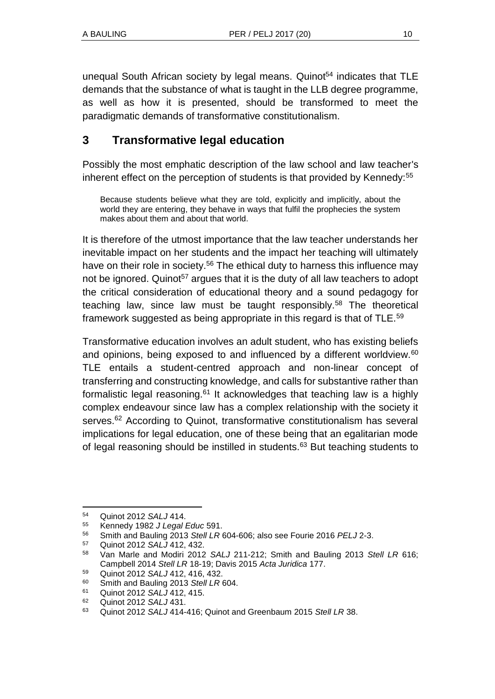unequal South African society by legal means. Quinot<sup>54</sup> indicates that  $TLE$ demands that the substance of what is taught in the LLB degree programme, as well as how it is presented, should be transformed to meet the paradigmatic demands of transformative constitutionalism.

# **3 Transformative legal education**

Possibly the most emphatic description of the law school and law teacher's inherent effect on the perception of students is that provided by Kennedy:<sup>55</sup>

Because students believe what they are told, explicitly and implicitly, about the world they are entering, they behave in ways that fulfil the prophecies the system makes about them and about that world.

It is therefore of the utmost importance that the law teacher understands her inevitable impact on her students and the impact her teaching will ultimately have on their role in society.<sup>56</sup> The ethical duty to harness this influence may not be ignored. Quinot<sup>57</sup> argues that it is the duty of all law teachers to adopt the critical consideration of educational theory and a sound pedagogy for teaching law, since law must be taught responsibly.<sup>58</sup> The theoretical framework suggested as being appropriate in this regard is that of TLE.<sup>59</sup>

Transformative education involves an adult student, who has existing beliefs and opinions, being exposed to and influenced by a different worldview.<sup>60</sup> TLE entails a student-centred approach and non-linear concept of transferring and constructing knowledge, and calls for substantive rather than formalistic legal reasoning.<sup>61</sup> It acknowledges that teaching law is a highly complex endeavour since law has a complex relationship with the society it serves.<sup>62</sup> According to Quinot, transformative constitutionalism has several implications for legal education, one of these being that an egalitarian mode of legal reasoning should be instilled in students.<sup>63</sup> But teaching students to

<sup>54</sup> Quinot 2012 *SALJ* 414.

<sup>55</sup> Kennedy 1982 *J Legal Educ* 591.

<sup>56</sup> Smith and Bauling 2013 *Stell LR* 604-606; also see Fourie 2016 *PELJ* 2-3.

<sup>57</sup> Quinot 2012 *SALJ* 412, 432.

<sup>58</sup> Van Marle and Modiri 2012 *SALJ* 211-212; Smith and Bauling 2013 *Stell LR* 616; Campbell 2014 *Stell LR* 18-19; Davis 2015 *Acta Juridica* 177.

<sup>59</sup> Quinot 2012 *SALJ* 412, 416, 432.

<sup>60</sup> Smith and Bauling 2013 *Stell LR* 604.

<sup>61</sup> Quinot 2012 *SALJ* 412, 415.

<sup>62</sup> Quinot 2012 *SALJ* 431.

<sup>63</sup> Quinot 2012 *SALJ* 414-416; Quinot and Greenbaum 2015 *Stell LR* 38.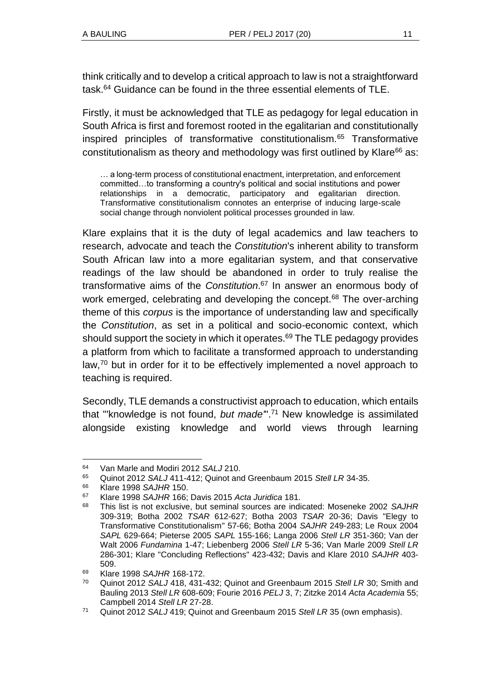think critically and to develop a critical approach to law is not a straightforward task.<sup>64</sup> Guidance can be found in the three essential elements of TLE.

Firstly, it must be acknowledged that TLE as pedagogy for legal education in South Africa is first and foremost rooted in the egalitarian and constitutionally inspired principles of transformative constitutionalism.<sup>65</sup> Transformative constitutionalism as theory and methodology was first outlined by Klare $66$  as:

… a long-term process of constitutional enactment, interpretation, and enforcement committed…to transforming a country's political and social institutions and power relationships in a democratic, participatory and egalitarian direction. Transformative constitutionalism connotes an enterprise of inducing large-scale social change through nonviolent political processes grounded in law.

Klare explains that it is the duty of legal academics and law teachers to research, advocate and teach the *Constitution*'s inherent ability to transform South African law into a more egalitarian system, and that conservative readings of the law should be abandoned in order to truly realise the transformative aims of the *Constitution*. <sup>67</sup> In answer an enormous body of work emerged, celebrating and developing the concept.<sup>68</sup> The over-arching theme of this *corpus* is the importance of understanding law and specifically the *Constitution*, as set in a political and socio-economic context, which should support the society in which it operates. $69$  The TLE pedagogy provides a platform from which to facilitate a transformed approach to understanding law, $70$  but in order for it to be effectively implemented a novel approach to teaching is required.

Secondly, TLE demands a constructivist approach to education, which entails that "'knowledge is not found, *but made'*". <sup>71</sup> New knowledge is assimilated alongside existing knowledge and world views through learning

<sup>64</sup> Van Marle and Modiri 2012 *SALJ* 210.

<sup>65</sup> Quinot 2012 *SALJ* 411-412; Quinot and Greenbaum 2015 *Stell LR* 34-35.

<sup>66</sup> Klare 1998 *SAJHR* 150.

<sup>67</sup> Klare 1998 *SAJHR* 166; Davis 2015 *Acta Juridica* 181.

<sup>68</sup> This list is not exclusive, but seminal sources are indicated: Moseneke 2002 *SAJHR* 309-319; Botha 2002 *TSAR* 612-627; Botha 2003 *TSAR* 20-36; Davis "Elegy to Transformative Constitutionalism" 57-66; Botha 2004 *SAJHR* 249-283; Le Roux 2004 *SAPL* 629-664; Pieterse 2005 *SAPL* 155-166; Langa 2006 *Stell LR* 351-360; Van der Walt 2006 *Fundamina* 1-47; Liebenberg 2006 *Stell LR* 5-36; Van Marle 2009 *Stell LR* 286-301; Klare "Concluding Reflections" 423-432; Davis and Klare 2010 *SAJHR* 403- 509.

<sup>69</sup> Klare 1998 *SAJHR* 168-172.

<sup>70</sup> Quinot 2012 *SALJ* 418, 431-432; Quinot and Greenbaum 2015 *Stell LR* 30; Smith and Bauling 2013 *Stell LR* 608-609; Fourie 2016 *PELJ* 3, 7; Zitzke 2014 *Acta Academia* 55; Campbell 2014 *Stell LR* 27-28.

<sup>71</sup> Quinot 2012 *SALJ* 419; Quinot and Greenbaum 2015 *Stell LR* 35 (own emphasis).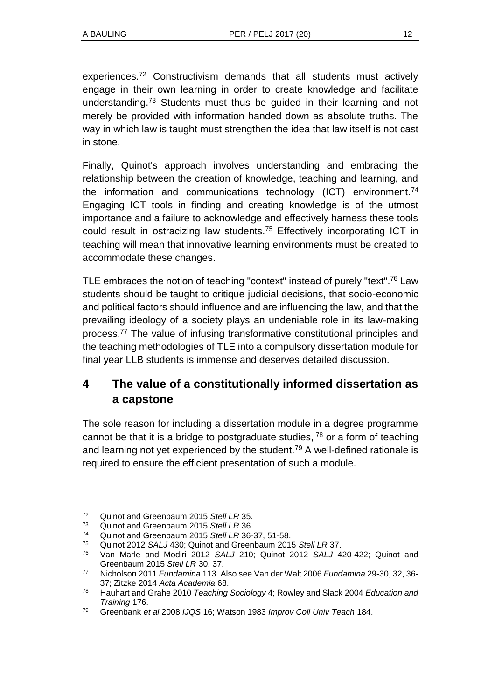experiences.<sup>72</sup> Constructivism demands that all students must actively engage in their own learning in order to create knowledge and facilitate understanding.<sup>73</sup> Students must thus be guided in their learning and not merely be provided with information handed down as absolute truths. The way in which law is taught must strengthen the idea that law itself is not cast in stone.

Finally, Quinot's approach involves understanding and embracing the relationship between the creation of knowledge, teaching and learning, and the information and communications technology (ICT) environment.<sup>74</sup> Engaging ICT tools in finding and creating knowledge is of the utmost importance and a failure to acknowledge and effectively harness these tools could result in ostracizing law students.<sup>75</sup> Effectively incorporating ICT in teaching will mean that innovative learning environments must be created to accommodate these changes.

TLE embraces the notion of teaching "context" instead of purely "text". <sup>76</sup> Law students should be taught to critique judicial decisions, that socio-economic and political factors should influence and are influencing the law, and that the prevailing ideology of a society plays an undeniable role in its law-making process.<sup>77</sup> The value of infusing transformative constitutional principles and the teaching methodologies of TLE into a compulsory dissertation module for final year LLB students is immense and deserves detailed discussion.

# **4 The value of a constitutionally informed dissertation as a capstone**

The sole reason for including a dissertation module in a degree programme cannot be that it is a bridge to postgraduate studies,  $78$  or a form of teaching and learning not yet experienced by the student.<sup>79</sup> A well-defined rationale is required to ensure the efficient presentation of such a module.

l <sup>72</sup> Quinot and Greenbaum 2015 *Stell LR* 35.

<sup>73</sup> Quinot and Greenbaum 2015 *Stell LR* 36.

<sup>74</sup> Quinot and Greenbaum 2015 *Stell LR* 36-37, 51-58.

<sup>75</sup> Quinot 2012 *SALJ* 430; Quinot and Greenbaum 2015 *Stell LR* 37.

<sup>76</sup> Van Marle and Modiri 2012 *SALJ* 210; Quinot 2012 *SALJ* 420-422; Quinot and Greenbaum 2015 *Stell LR* 30, 37.

<sup>77</sup> Nicholson 2011 *Fundamina* 113. Also see Van der Walt 2006 *Fundamina* 29-30, 32, 36- 37; Zitzke 2014 *Acta Academia* 68.

<sup>78</sup> Hauhart and Grahe 2010 *Teaching Sociology* 4; Rowley and Slack 2004 *Education and Training* 176.

<sup>79</sup> Greenbank *et al* 2008 *IJQS* 16; Watson 1983 *Improv Coll Univ Teach* 184.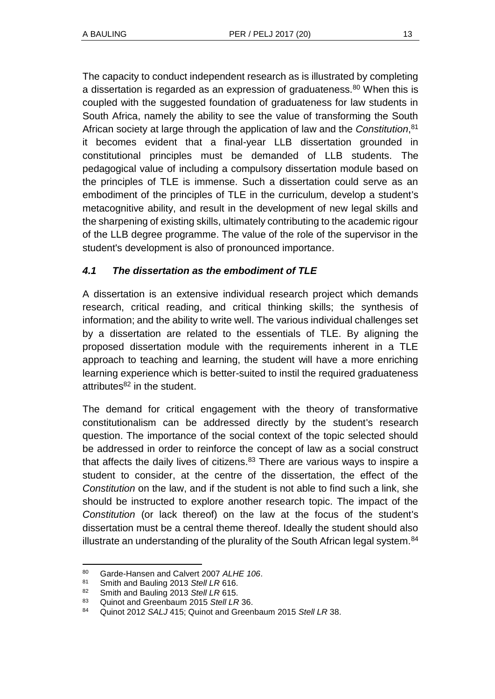The capacity to conduct independent research as is illustrated by completing a dissertation is regarded as an expression of graduateness.<sup>80</sup> When this is coupled with the suggested foundation of graduateness for law students in South Africa, namely the ability to see the value of transforming the South African society at large through the application of law and the *Constitution*, 81 it becomes evident that a final-year LLB dissertation grounded in constitutional principles must be demanded of LLB students. The pedagogical value of including a compulsory dissertation module based on the principles of TLE is immense. Such a dissertation could serve as an embodiment of the principles of TLE in the curriculum, develop a student's metacognitive ability, and result in the development of new legal skills and the sharpening of existing skills, ultimately contributing to the academic rigour of the LLB degree programme. The value of the role of the supervisor in the student's development is also of pronounced importance.

### *4.1 The dissertation as the embodiment of TLE*

A dissertation is an extensive individual research project which demands research, critical reading, and critical thinking skills; the synthesis of information; and the ability to write well. The various individual challenges set by a dissertation are related to the essentials of TLE. By aligning the proposed dissertation module with the requirements inherent in a TLE approach to teaching and learning, the student will have a more enriching learning experience which is better-suited to instil the required graduateness attributes $82$  in the student.

The demand for critical engagement with the theory of transformative constitutionalism can be addressed directly by the student's research question. The importance of the social context of the topic selected should be addressed in order to reinforce the concept of law as a social construct that affects the daily lives of citizens. $83$  There are various ways to inspire a student to consider, at the centre of the dissertation, the effect of the *Constitution* on the law, and if the student is not able to find such a link, she should be instructed to explore another research topic. The impact of the *Constitution* (or lack thereof) on the law at the focus of the student's dissertation must be a central theme thereof. Ideally the student should also illustrate an understanding of the plurality of the South African legal system.<sup>84</sup>

l <sup>80</sup> Garde-Hansen and Calvert 2007 *ALHE 106*.

<sup>81</sup> Smith and Bauling 2013 *Stell LR* 616.

<sup>82</sup> Smith and Bauling 2013 *Stell LR* 615.

<sup>83</sup> Quinot and Greenbaum 2015 *Stell LR* 36.

<sup>84</sup> Quinot 2012 *SALJ* 415; Quinot and Greenbaum 2015 *Stell LR* 38.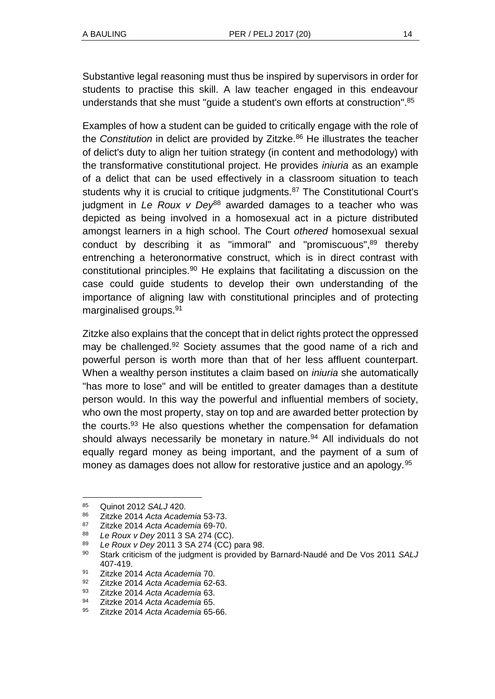Substantive legal reasoning must thus be inspired by supervisors in order for students to practise this skill. A law teacher engaged in this endeavour understands that she must "guide a student's own efforts at construction". 85

Examples of how a student can be guided to critically engage with the role of the *Constitution* in delict are provided by Zitzke.<sup>86</sup> He illustrates the teacher of delict's duty to align her tuition strategy (in content and methodology) with the transformative constitutional project. He provides *iniuria* as an example of a delict that can be used effectively in a classroom situation to teach students why it is crucial to critique judgments.<sup>87</sup> The Constitutional Court's judgment in *Le Roux v Dey<sup>88</sup>* awarded damages to a teacher who was depicted as being involved in a homosexual act in a picture distributed amongst learners in a high school. The Court *othered* homosexual sexual conduct by describing it as "immoral" and "promiscuous", <sup>89</sup> thereby entrenching a heteronormative construct, which is in direct contrast with constitutional principles.<sup>90</sup> He explains that facilitating a discussion on the case could guide students to develop their own understanding of the importance of aligning law with constitutional principles and of protecting marginalised groups.<sup>91</sup>

Zitzke also explains that the concept that in delict rights protect the oppressed may be challenged.<sup>92</sup> Society assumes that the good name of a rich and powerful person is worth more than that of her less affluent counterpart. When a wealthy person institutes a claim based on *iniuria* she automatically "has more to lose" and will be entitled to greater damages than a destitute person would. In this way the powerful and influential members of society, who own the most property, stay on top and are awarded better protection by the courts.<sup>93</sup> He also questions whether the compensation for defamation should always necessarily be monetary in nature.<sup>94</sup> All individuals do not equally regard money as being important, and the payment of a sum of money as damages does not allow for restorative justice and an apology.<sup>95</sup>

 $\overline{a}$ 

<sup>85</sup> Quinot 2012 *SALJ* 420.<br>86 Zitzko 2014 Acta Acade

<sup>86</sup> Zitzke 2014 *Acta Academia* 53-73.

<sup>87</sup> Zitzke 2014 *Acta Academia* 69-70.

<sup>88</sup> *Le Roux v Dey* 2011 3 SA 274 (CC).

<sup>89</sup> *Le Roux v Dey* 2011 3 SA 274 (CC) para 98.

<sup>90</sup> Stark criticism of the judgment is provided by Barnard-Naudé and De Vos 2011 *SALJ*  407-419.

<sup>91</sup> Zitzke 2014 *Acta Academia* 70.

<sup>92</sup> Zitzke 2014 *Acta Academia* 62-63.

<sup>93</sup> Zitzke 2014 *Acta Academia* 63.

<sup>94</sup> Zitzke 2014 *Acta Academia* 65.

<sup>95</sup> Zitzke 2014 *Acta Academia* 65-66.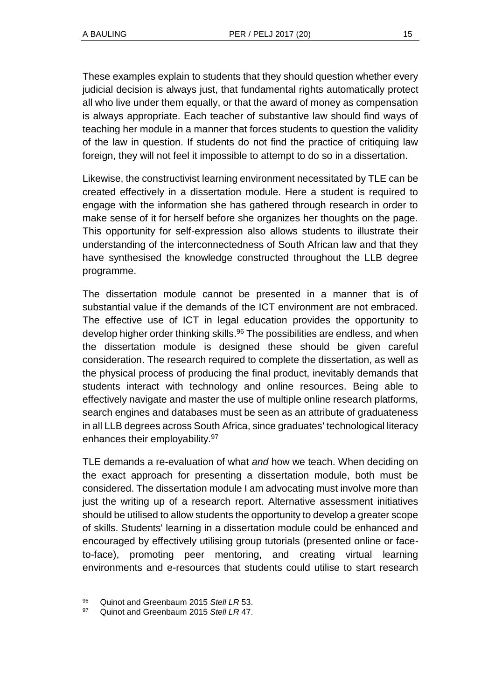These examples explain to students that they should question whether every judicial decision is always just, that fundamental rights automatically protect all who live under them equally, or that the award of money as compensation is always appropriate. Each teacher of substantive law should find ways of teaching her module in a manner that forces students to question the validity of the law in question. If students do not find the practice of critiquing law foreign, they will not feel it impossible to attempt to do so in a dissertation.

Likewise, the constructivist learning environment necessitated by TLE can be created effectively in a dissertation module. Here a student is required to engage with the information she has gathered through research in order to make sense of it for herself before she organizes her thoughts on the page. This opportunity for self-expression also allows students to illustrate their understanding of the interconnectedness of South African law and that they have synthesised the knowledge constructed throughout the LLB degree programme.

The dissertation module cannot be presented in a manner that is of substantial value if the demands of the ICT environment are not embraced. The effective use of ICT in legal education provides the opportunity to develop higher order thinking skills.<sup>96</sup> The possibilities are endless, and when the dissertation module is designed these should be given careful consideration. The research required to complete the dissertation, as well as the physical process of producing the final product, inevitably demands that students interact with technology and online resources. Being able to effectively navigate and master the use of multiple online research platforms, search engines and databases must be seen as an attribute of graduateness in all LLB degrees across South Africa, since graduates' technological literacy enhances their employability.<sup>97</sup>

TLE demands a re-evaluation of what *and* how we teach. When deciding on the exact approach for presenting a dissertation module, both must be considered. The dissertation module I am advocating must involve more than just the writing up of a research report. Alternative assessment initiatives should be utilised to allow students the opportunity to develop a greater scope of skills. Students' learning in a dissertation module could be enhanced and encouraged by effectively utilising group tutorials (presented online or faceto-face), promoting peer mentoring, and creating virtual learning environments and e-resources that students could utilise to start research

<sup>96</sup> Quinot and Greenbaum 2015 *Stell LR* 53.

<sup>97</sup> Quinot and Greenbaum 2015 *Stell LR* 47.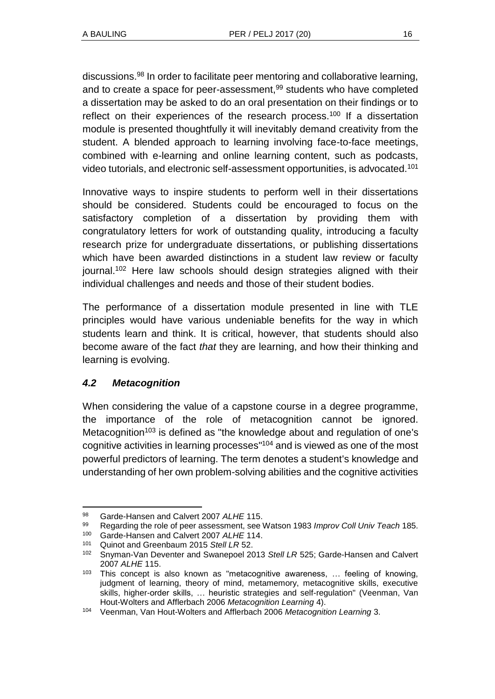discussions.<sup>98</sup> In order to facilitate peer mentoring and collaborative learning, and to create a space for peer-assessment,<sup>99</sup> students who have completed a dissertation may be asked to do an oral presentation on their findings or to reflect on their experiences of the research process.<sup>100</sup> If a dissertation module is presented thoughtfully it will inevitably demand creativity from the student. A blended approach to learning involving face-to-face meetings, combined with e-learning and online learning content, such as podcasts, video tutorials, and electronic self-assessment opportunities, is advocated.<sup>101</sup>

Innovative ways to inspire students to perform well in their dissertations should be considered. Students could be encouraged to focus on the satisfactory completion of a dissertation by providing them with congratulatory letters for work of outstanding quality, introducing a faculty research prize for undergraduate dissertations, or publishing dissertations which have been awarded distinctions in a student law review or faculty journal.<sup>102</sup> Here law schools should design strategies aligned with their individual challenges and needs and those of their student bodies.

The performance of a dissertation module presented in line with TLE principles would have various undeniable benefits for the way in which students learn and think. It is critical, however, that students should also become aware of the fact *that* they are learning, and how their thinking and learning is evolving.

### *4.2 Metacognition*

When considering the value of a capstone course in a degree programme, the importance of the role of metacognition cannot be ignored. Metacognition<sup>103</sup> is defined as "the knowledge about and regulation of one's cognitive activities in learning processes" <sup>104</sup> and is viewed as one of the most powerful predictors of learning. The term denotes a student's knowledge and understanding of her own problem-solving abilities and the cognitive activities

l <sup>98</sup> Garde-Hansen and Calvert 2007 *ALHE* 115.

<sup>99</sup> Regarding the role of peer assessment, see Watson 1983 *Improv Coll Univ Teach* 185.

<sup>100</sup> Garde-Hansen and Calvert 2007 *ALHE* 114.

<sup>101</sup> Quinot and Greenbaum 2015 *Stell LR* 52.

<sup>102</sup> Snyman-Van Deventer and Swanepoel 2013 *Stell LR* 525; Garde-Hansen and Calvert 2007 *ALHE* 115.

 $103$  This concept is also known as "metacognitive awareness, ... feeling of knowing, judgment of learning, theory of mind, metamemory, metacognitive skills, executive skills, higher-order skills, … heuristic strategies and self-regulation" (Veenman, Van Hout-Wolters and Afflerbach 2006 *Metacognition Learning* 4).

<sup>104</sup> Veenman, Van Hout-Wolters and Afflerbach 2006 *Metacognition Learning* 3.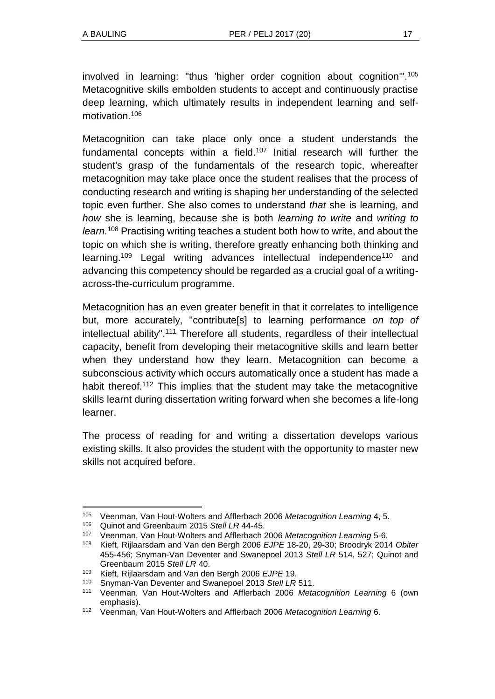involved in learning: "thus 'higher order cognition about cognition'". 105 Metacognitive skills embolden students to accept and continuously practise deep learning, which ultimately results in independent learning and selfmotivation.<sup>106</sup>

Metacognition can take place only once a student understands the fundamental concepts within a field.<sup>107</sup> Initial research will further the student's grasp of the fundamentals of the research topic, whereafter metacognition may take place once the student realises that the process of conducting research and writing is shaping her understanding of the selected topic even further. She also comes to understand *that* she is learning, and *how* she is learning, because she is both *learning to write* and *writing to learn.*<sup>108</sup> Practising writing teaches a student both how to write, and about the topic on which she is writing, therefore greatly enhancing both thinking and learning.<sup>109</sup> Legal writing advances intellectual independence<sup>110</sup> and advancing this competency should be regarded as a crucial goal of a writingacross-the-curriculum programme.

Metacognition has an even greater benefit in that it correlates to intelligence but, more accurately, "contribute[s] to learning performance *on top of* intellectual ability".<sup>111</sup> Therefore all students, regardless of their intellectual capacity, benefit from developing their metacognitive skills and learn better when they understand how they learn. Metacognition can become a subconscious activity which occurs automatically once a student has made a habit thereof.<sup>112</sup> This implies that the student may take the metacognitive skills learnt during dissertation writing forward when she becomes a life-long learner.

The process of reading for and writing a dissertation develops various existing skills. It also provides the student with the opportunity to master new skills not acquired before.

<sup>105</sup> Veenman, Van Hout-Wolters and Afflerbach 2006 *Metacognition Learning* 4, 5.

<sup>106</sup> Quinot and Greenbaum 2015 *Stell LR* 44-45.

<sup>107</sup> Veenman, Van Hout-Wolters and Afflerbach 2006 *Metacognition Learning* 5-6.

<sup>108</sup> Kieft, Rijlaarsdam and Van den Bergh 2006 *EJPE* 18-20, 29-30; Broodryk 2014 *Obiter*  455-456; Snyman-Van Deventer and Swanepoel 2013 *Stell LR* 514, 527; Quinot and Greenbaum 2015 *Stell LR* 40.

<sup>109</sup> Kieft, Rijlaarsdam and Van den Bergh 2006 *EJPE* 19.

<sup>110</sup> Snyman-Van Deventer and Swanepoel 2013 *Stell LR* 511.

<sup>111</sup> Veenman, Van Hout-Wolters and Afflerbach 2006 *Metacognition Learning* 6 (own emphasis).

<sup>112</sup> Veenman, Van Hout-Wolters and Afflerbach 2006 *Metacognition Learning* 6.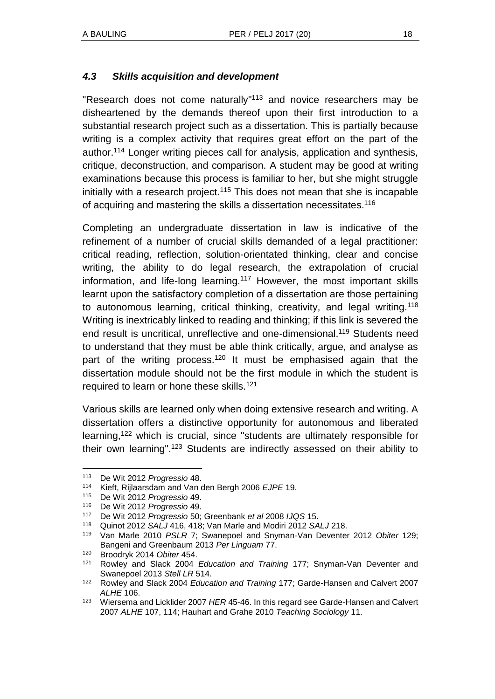#### *4.3 Skills acquisition and development*

"Research does not come naturally"<sup>113</sup> and novice researchers may be disheartened by the demands thereof upon their first introduction to a substantial research project such as a dissertation. This is partially because writing is a complex activity that requires great effort on the part of the author.<sup>114</sup> Longer writing pieces call for analysis, application and synthesis, critique, deconstruction, and comparison. A student may be good at writing examinations because this process is familiar to her, but she might struggle initially with a research project.<sup>115</sup> This does not mean that she is incapable of acquiring and mastering the skills a dissertation necessitates.<sup>116</sup>

Completing an undergraduate dissertation in law is indicative of the refinement of a number of crucial skills demanded of a legal practitioner: critical reading, reflection, solution-orientated thinking, clear and concise writing, the ability to do legal research, the extrapolation of crucial information, and life-long learning.<sup>117</sup> However, the most important skills learnt upon the satisfactory completion of a dissertation are those pertaining to autonomous learning, critical thinking, creativity, and legal writing.<sup>118</sup> Writing is inextricably linked to reading and thinking; if this link is severed the end result is uncritical, unreflective and one-dimensional.<sup>119</sup> Students need to understand that they must be able think critically, argue, and analyse as part of the writing process.<sup>120</sup> It must be emphasised again that the dissertation module should not be the first module in which the student is required to learn or hone these skills.<sup>121</sup>

Various skills are learned only when doing extensive research and writing. A dissertation offers a distinctive opportunity for autonomous and liberated learning,<sup>122</sup> which is crucial, since "students are ultimately responsible for their own learning".<sup>123</sup> Students are indirectly assessed on their ability to

<sup>113</sup> De Wit 2012 *Progressio* 48.

<sup>114</sup> Kieft, Rijlaarsdam and Van den Bergh 2006 *EJPE* 19.

<sup>115</sup> De Wit 2012 *Progressio* 49.

<sup>116</sup> De Wit 2012 *Progressio* 49.

<sup>117</sup> De Wit 2012 *Progressio* 50; Greenbank *et al* 2008 *IJQS* 15.

<sup>118</sup> Quinot 2012 *SALJ* 416, 418; Van Marle and Modiri 2012 *SALJ* 218.

<sup>119</sup> Van Marle 2010 *PSLR* 7; Swanepoel and Snyman-Van Deventer 2012 *Obiter* 129; Bangeni and Greenbaum 2013 *Per Linguam* 77.

<sup>120</sup> Broodryk 2014 *Obiter* 454.

<sup>121</sup> Rowley and Slack 2004 *Education and Training* 177; Snyman-Van Deventer and Swanepoel 2013 *Stell LR* 514.

<sup>122</sup> Rowley and Slack 2004 *Education and Training* 177; Garde-Hansen and Calvert 2007 *ALHE* 106.

<sup>123</sup> Wiersema and Licklider 2007 *HER* 45-46. In this regard see Garde-Hansen and Calvert 2007 *ALHE* 107, 114; Hauhart and Grahe 2010 *Teaching Sociology* 11.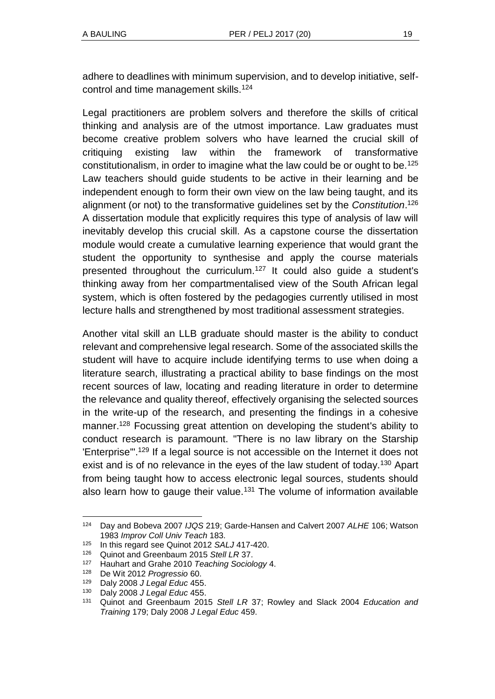adhere to deadlines with minimum supervision, and to develop initiative, selfcontrol and time management skills.<sup>124</sup>

Legal practitioners are problem solvers and therefore the skills of critical thinking and analysis are of the utmost importance. Law graduates must become creative problem solvers who have learned the crucial skill of critiquing existing law within the framework of transformative constitutionalism, in order to imagine what the law could be or ought to be.<sup>125</sup> Law teachers should guide students to be active in their learning and be independent enough to form their own view on the law being taught, and its alignment (or not) to the transformative guidelines set by the *Constitution*. 126 A dissertation module that explicitly requires this type of analysis of law will inevitably develop this crucial skill. As a capstone course the dissertation module would create a cumulative learning experience that would grant the student the opportunity to synthesise and apply the course materials presented throughout the curriculum.<sup>127</sup> It could also guide a student's thinking away from her compartmentalised view of the South African legal system, which is often fostered by the pedagogies currently utilised in most lecture halls and strengthened by most traditional assessment strategies.

Another vital skill an LLB graduate should master is the ability to conduct relevant and comprehensive legal research. Some of the associated skills the student will have to acquire include identifying terms to use when doing a literature search, illustrating a practical ability to base findings on the most recent sources of law, locating and reading literature in order to determine the relevance and quality thereof, effectively organising the selected sources in the write-up of the research, and presenting the findings in a cohesive manner.<sup>128</sup> Focussing great attention on developing the student's ability to conduct research is paramount. "There is no law library on the Starship 'Enterprise'". <sup>129</sup> If a legal source is not accessible on the Internet it does not exist and is of no relevance in the eyes of the law student of today.<sup>130</sup> Apart from being taught how to access electronic legal sources, students should also learn how to gauge their value.<sup>131</sup> The volume of information available

l <sup>124</sup> Day and Bobeva 2007 *IJQS* 219; Garde-Hansen and Calvert 2007 *ALHE* 106; Watson 1983 *Improv Coll Univ Teach* 183.

<sup>125</sup> In this regard see Quinot 2012 *SALJ* 417-420.

<sup>126</sup> Quinot and Greenbaum 2015 *Stell LR* 37.

<sup>127</sup> Hauhart and Grahe 2010 *Teaching Sociology* 4.

<sup>128</sup> De Wit 2012 *Progressio* 60.

<sup>129</sup> Daly 2008 *J Legal Educ* 455.

<sup>130</sup> Daly 2008 *J Legal Educ* 455.

<sup>131</sup> Quinot and Greenbaum 2015 *Stell LR* 37; Rowley and Slack 2004 *Education and Training* 179; Daly 2008 *J Legal Educ* 459.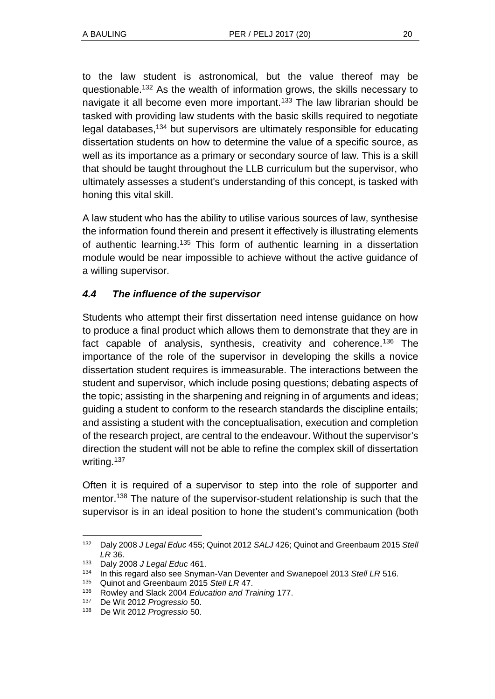to the law student is astronomical, but the value thereof may be questionable.<sup>132</sup> As the wealth of information grows, the skills necessary to navigate it all become even more important.<sup>133</sup> The law librarian should be tasked with providing law students with the basic skills required to negotiate legal databases,<sup>134</sup> but supervisors are ultimately responsible for educating dissertation students on how to determine the value of a specific source, as well as its importance as a primary or secondary source of law. This is a skill that should be taught throughout the LLB curriculum but the supervisor, who ultimately assesses a student's understanding of this concept, is tasked with honing this vital skill.

A law student who has the ability to utilise various sources of law, synthesise the information found therein and present it effectively is illustrating elements of authentic learning.<sup>135</sup> This form of authentic learning in a dissertation module would be near impossible to achieve without the active guidance of a willing supervisor.

### *4.4 The influence of the supervisor*

Students who attempt their first dissertation need intense guidance on how to produce a final product which allows them to demonstrate that they are in fact capable of analysis, synthesis, creativity and coherence.<sup>136</sup> The importance of the role of the supervisor in developing the skills a novice dissertation student requires is immeasurable. The interactions between the student and supervisor, which include posing questions; debating aspects of the topic; assisting in the sharpening and reigning in of arguments and ideas; guiding a student to conform to the research standards the discipline entails; and assisting a student with the conceptualisation, execution and completion of the research project, are central to the endeavour. Without the supervisor's direction the student will not be able to refine the complex skill of dissertation writing.<sup>137</sup>

Often it is required of a supervisor to step into the role of supporter and mentor.<sup>138</sup> The nature of the supervisor-student relationship is such that the supervisor is in an ideal position to hone the student's communication (both

l <sup>132</sup> Daly 2008 *J Legal Educ* 455; Quinot 2012 *SALJ* 426; Quinot and Greenbaum 2015 *Stell LR* 36.

<sup>133</sup> Daly 2008 *J Legal Educ* 461.

<sup>134</sup> In this regard also see Snyman-Van Deventer and Swanepoel 2013 *Stell LR* 516.

<sup>135</sup> Quinot and Greenbaum 2015 *Stell LR* 47.

<sup>136</sup> Rowley and Slack 2004 *Education and Training* 177.

<sup>137</sup> De Wit 2012 *Progressio* 50.

<sup>138</sup> De Wit 2012 *Progressio* 50.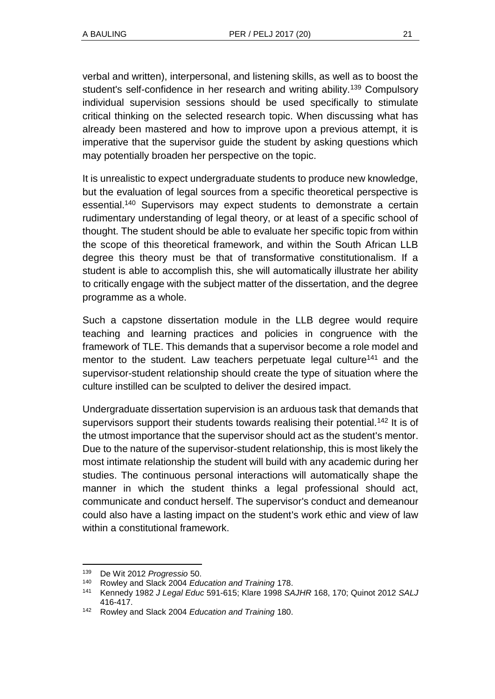verbal and written), interpersonal, and listening skills, as well as to boost the student's self-confidence in her research and writing ability.<sup>139</sup> Compulsory individual supervision sessions should be used specifically to stimulate critical thinking on the selected research topic. When discussing what has already been mastered and how to improve upon a previous attempt, it is imperative that the supervisor guide the student by asking questions which may potentially broaden her perspective on the topic.

It is unrealistic to expect undergraduate students to produce new knowledge, but the evaluation of legal sources from a specific theoretical perspective is essential.<sup>140</sup> Supervisors may expect students to demonstrate a certain rudimentary understanding of legal theory, or at least of a specific school of thought. The student should be able to evaluate her specific topic from within the scope of this theoretical framework, and within the South African LLB degree this theory must be that of transformative constitutionalism. If a student is able to accomplish this, she will automatically illustrate her ability to critically engage with the subject matter of the dissertation, and the degree programme as a whole.

Such a capstone dissertation module in the LLB degree would require teaching and learning practices and policies in congruence with the framework of TLE. This demands that a supervisor become a role model and mentor to the student. Law teachers perpetuate legal culture<sup>141</sup> and the supervisor-student relationship should create the type of situation where the culture instilled can be sculpted to deliver the desired impact.

Undergraduate dissertation supervision is an arduous task that demands that supervisors support their students towards realising their potential.<sup>142</sup> It is of the utmost importance that the supervisor should act as the student's mentor. Due to the nature of the supervisor-student relationship, this is most likely the most intimate relationship the student will build with any academic during her studies. The continuous personal interactions will automatically shape the manner in which the student thinks a legal professional should act, communicate and conduct herself. The supervisor's conduct and demeanour could also have a lasting impact on the student's work ethic and view of law within a constitutional framework.

<sup>139</sup> De Wit 2012 *Progressio* 50.

<sup>140</sup> Rowley and Slack 2004 *Education and Training* 178.

<sup>141</sup> Kennedy 1982 *J Legal Educ* 591-615; Klare 1998 *SAJHR* 168, 170; Quinot 2012 *SALJ* 416-417.

<sup>142</sup> Rowley and Slack 2004 *Education and Training* 180.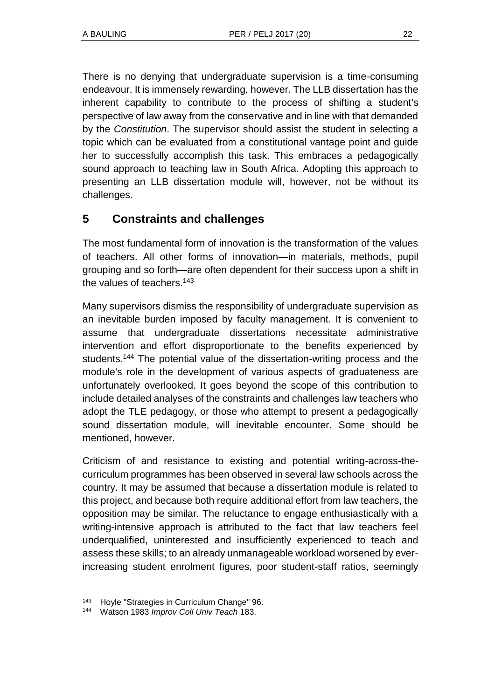There is no denying that undergraduate supervision is a time-consuming endeavour. It is immensely rewarding, however. The LLB dissertation has the inherent capability to contribute to the process of shifting a student's perspective of law away from the conservative and in line with that demanded by the *Constitution*. The supervisor should assist the student in selecting a topic which can be evaluated from a constitutional vantage point and guide her to successfully accomplish this task. This embraces a pedagogically sound approach to teaching law in South Africa. Adopting this approach to presenting an LLB dissertation module will, however, not be without its challenges.

### **5 Constraints and challenges**

The most fundamental form of innovation is the transformation of the values of teachers. All other forms of innovation—in materials, methods, pupil grouping and so forth—are often dependent for their success upon a shift in the values of teachers.<sup>143</sup>

Many supervisors dismiss the responsibility of undergraduate supervision as an inevitable burden imposed by faculty management. It is convenient to assume that undergraduate dissertations necessitate administrative intervention and effort disproportionate to the benefits experienced by students.<sup>144</sup> The potential value of the dissertation-writing process and the module's role in the development of various aspects of graduateness are unfortunately overlooked. It goes beyond the scope of this contribution to include detailed analyses of the constraints and challenges law teachers who adopt the TLE pedagogy, or those who attempt to present a pedagogically sound dissertation module, will inevitable encounter. Some should be mentioned, however.

Criticism of and resistance to existing and potential writing-across-thecurriculum programmes has been observed in several law schools across the country. It may be assumed that because a dissertation module is related to this project, and because both require additional effort from law teachers, the opposition may be similar. The reluctance to engage enthusiastically with a writing-intensive approach is attributed to the fact that law teachers feel underqualified, uninterested and insufficiently experienced to teach and assess these skills; to an already unmanageable workload worsened by everincreasing student enrolment figures, poor student-staff ratios, seemingly

l <sup>143</sup> Hoyle "Strategies in Curriculum Change" 96.

<sup>144</sup> Watson 1983 *Improv Coll Univ Teach* 183.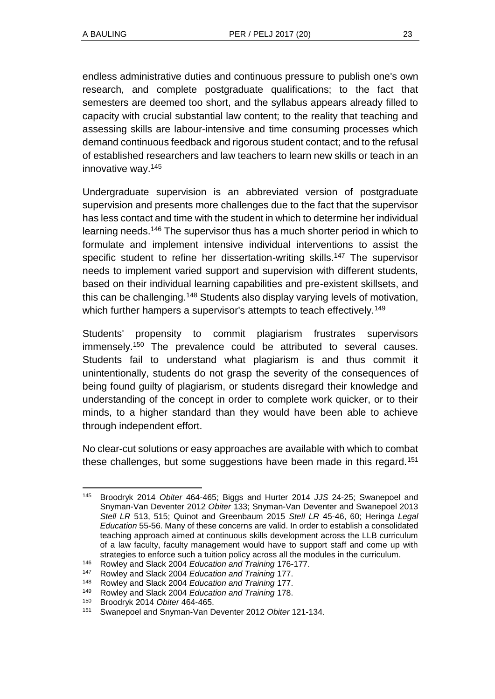endless administrative duties and continuous pressure to publish one's own research, and complete postgraduate qualifications; to the fact that semesters are deemed too short, and the syllabus appears already filled to capacity with crucial substantial law content; to the reality that teaching and assessing skills are labour-intensive and time consuming processes which demand continuous feedback and rigorous student contact; and to the refusal of established researchers and law teachers to learn new skills or teach in an innovative way.<sup>145</sup>

Undergraduate supervision is an abbreviated version of postgraduate supervision and presents more challenges due to the fact that the supervisor has less contact and time with the student in which to determine her individual learning needs.<sup>146</sup> The supervisor thus has a much shorter period in which to formulate and implement intensive individual interventions to assist the specific student to refine her dissertation-writing skills.<sup>147</sup> The supervisor needs to implement varied support and supervision with different students, based on their individual learning capabilities and pre-existent skillsets, and this can be challenging.<sup>148</sup> Students also display varying levels of motivation, which further hampers a supervisor's attempts to teach effectively.<sup>149</sup>

Students' propensity to commit plagiarism frustrates supervisors immensely.<sup>150</sup> The prevalence could be attributed to several causes. Students fail to understand what plagiarism is and thus commit it unintentionally, students do not grasp the severity of the consequences of being found guilty of plagiarism, or students disregard their knowledge and understanding of the concept in order to complete work quicker, or to their minds, to a higher standard than they would have been able to achieve through independent effort.

No clear-cut solutions or easy approaches are available with which to combat these challenges, but some suggestions have been made in this regard.<sup>151</sup>

l <sup>145</sup> Broodryk 2014 *Obiter* 464-465; Biggs and Hurter 2014 *JJS* 24-25; Swanepoel and Snyman-Van Deventer 2012 *Obiter* 133; Snyman-Van Deventer and Swanepoel 2013 *Stell LR* 513, 515; Quinot and Greenbaum 2015 *Stell LR* 45-46, 60; Heringa *Legal Education* 55-56. Many of these concerns are valid. In order to establish a consolidated teaching approach aimed at continuous skills development across the LLB curriculum of a law faculty, faculty management would have to support staff and come up with strategies to enforce such a tuition policy across all the modules in the curriculum.

<sup>146</sup> Rowley and Slack 2004 *Education and Training* 176-177.

<sup>147</sup> Rowley and Slack 2004 *Education and Training* 177.

<sup>148</sup> Rowley and Slack 2004 *Education and Training* 177.

<sup>149</sup> Rowley and Slack 2004 *Education and Training* 178.

<sup>150</sup> Broodryk 2014 *Obiter* 464-465.

<sup>151</sup> Swanepoel and Snyman-Van Deventer 2012 *Obiter* 121-134.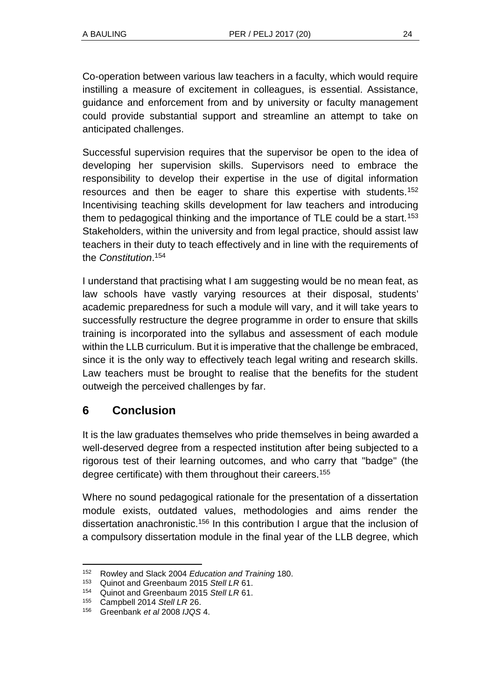Co-operation between various law teachers in a faculty, which would require instilling a measure of excitement in colleagues, is essential. Assistance, guidance and enforcement from and by university or faculty management could provide substantial support and streamline an attempt to take on anticipated challenges.

Successful supervision requires that the supervisor be open to the idea of developing her supervision skills. Supervisors need to embrace the responsibility to develop their expertise in the use of digital information resources and then be eager to share this expertise with students.<sup>152</sup> Incentivising teaching skills development for law teachers and introducing them to pedagogical thinking and the importance of TLE could be a start.<sup>153</sup> Stakeholders, within the university and from legal practice, should assist law teachers in their duty to teach effectively and in line with the requirements of the *Constitution*. 154

I understand that practising what I am suggesting would be no mean feat, as law schools have vastly varying resources at their disposal, students' academic preparedness for such a module will vary, and it will take years to successfully restructure the degree programme in order to ensure that skills training is incorporated into the syllabus and assessment of each module within the LLB curriculum. But it is imperative that the challenge be embraced, since it is the only way to effectively teach legal writing and research skills. Law teachers must be brought to realise that the benefits for the student outweigh the perceived challenges by far.

### **6 Conclusion**

It is the law graduates themselves who pride themselves in being awarded a well-deserved degree from a respected institution after being subjected to a rigorous test of their learning outcomes, and who carry that "badge" (the degree certificate) with them throughout their careers.<sup>155</sup>

Where no sound pedagogical rationale for the presentation of a dissertation module exists, outdated values, methodologies and aims render the dissertation anachronistic.<sup>156</sup> In this contribution I arque that the inclusion of a compulsory dissertation module in the final year of the LLB degree, which

l <sup>152</sup> Rowley and Slack 2004 *Education and Training* 180.

<sup>153</sup> Quinot and Greenbaum 2015 *Stell LR* 61.

<sup>154</sup> Quinot and Greenbaum 2015 *Stell LR* 61.

<sup>155</sup> Campbell 2014 *Stell LR* 26.

<sup>156</sup> Greenbank *et al* 2008 *IJQS* 4.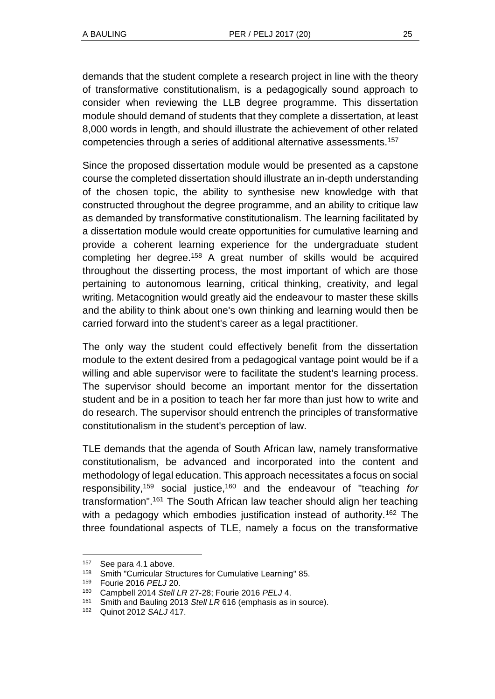demands that the student complete a research project in line with the theory of transformative constitutionalism, is a pedagogically sound approach to consider when reviewing the LLB degree programme. This dissertation module should demand of students that they complete a dissertation, at least 8,000 words in length, and should illustrate the achievement of other related competencies through a series of additional alternative assessments.<sup>157</sup>

Since the proposed dissertation module would be presented as a capstone course the completed dissertation should illustrate an in-depth understanding of the chosen topic, the ability to synthesise new knowledge with that constructed throughout the degree programme, and an ability to critique law as demanded by transformative constitutionalism. The learning facilitated by a dissertation module would create opportunities for cumulative learning and provide a coherent learning experience for the undergraduate student completing her degree.<sup>158</sup> A great number of skills would be acquired throughout the disserting process, the most important of which are those pertaining to autonomous learning, critical thinking, creativity, and legal writing. Metacognition would greatly aid the endeavour to master these skills and the ability to think about one's own thinking and learning would then be carried forward into the student's career as a legal practitioner.

The only way the student could effectively benefit from the dissertation module to the extent desired from a pedagogical vantage point would be if a willing and able supervisor were to facilitate the student's learning process. The supervisor should become an important mentor for the dissertation student and be in a position to teach her far more than just how to write and do research. The supervisor should entrench the principles of transformative constitutionalism in the student's perception of law.

TLE demands that the agenda of South African law, namely transformative constitutionalism, be advanced and incorporated into the content and methodology of legal education. This approach necessitates a focus on social responsibility,<sup>159</sup> social justice,<sup>160</sup> and the endeavour of "teaching *for* transformation".<sup>161</sup> The South African law teacher should align her teaching with a pedagogy which embodies justification instead of authority.<sup>162</sup> The three foundational aspects of TLE, namely a focus on the transformative

<sup>157</sup> See para 4.1 above.

<sup>158</sup> Smith "Curricular Structures for Cumulative Learning" 85.

<sup>159</sup> Fourie 2016 *PELJ* 20.

<sup>160</sup> Campbell 2014 *Stell LR* 27-28; Fourie 2016 *PELJ* 4.

<sup>161</sup> Smith and Bauling 2013 *Stell LR* 616 (emphasis as in source).

<sup>162</sup> Quinot 2012 *SALJ* 417.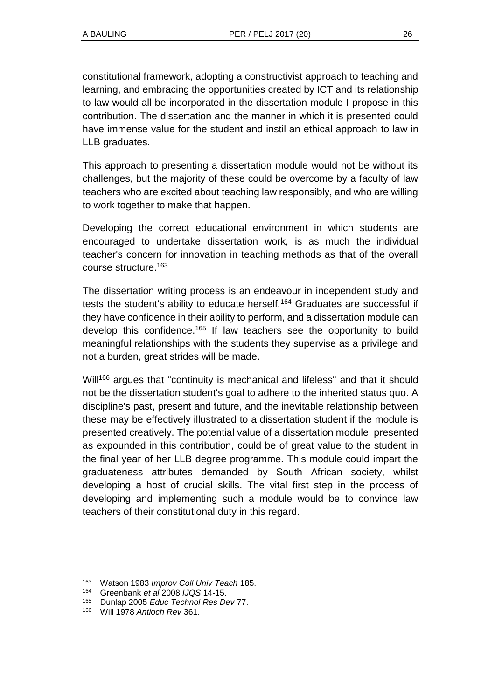constitutional framework, adopting a constructivist approach to teaching and learning, and embracing the opportunities created by ICT and its relationship to law would all be incorporated in the dissertation module I propose in this contribution. The dissertation and the manner in which it is presented could have immense value for the student and instil an ethical approach to law in LLB graduates.

This approach to presenting a dissertation module would not be without its challenges, but the majority of these could be overcome by a faculty of law teachers who are excited about teaching law responsibly, and who are willing to work together to make that happen.

Developing the correct educational environment in which students are encouraged to undertake dissertation work, is as much the individual teacher's concern for innovation in teaching methods as that of the overall course structure.<sup>163</sup>

The dissertation writing process is an endeavour in independent study and tests the student's ability to educate herself.<sup>164</sup> Graduates are successful if they have confidence in their ability to perform, and a dissertation module can develop this confidence.<sup>165</sup> If law teachers see the opportunity to build meaningful relationships with the students they supervise as a privilege and not a burden, great strides will be made.

Will<sup>166</sup> argues that "continuity is mechanical and lifeless" and that it should not be the dissertation student's goal to adhere to the inherited status quo. A discipline's past, present and future, and the inevitable relationship between these may be effectively illustrated to a dissertation student if the module is presented creatively. The potential value of a dissertation module, presented as expounded in this contribution, could be of great value to the student in the final year of her LLB degree programme. This module could impart the graduateness attributes demanded by South African society, whilst developing a host of crucial skills. The vital first step in the process of developing and implementing such a module would be to convince law teachers of their constitutional duty in this regard.

l <sup>163</sup> Watson 1983 *Improv Coll Univ Teach* 185.

<sup>164</sup> Greenbank *et al* 2008 *IJQS* 14-15.

<sup>165</sup> Dunlap 2005 *Educ Technol Res Dev* 77.

<sup>166</sup> Will 1978 *Antioch Rev* 361.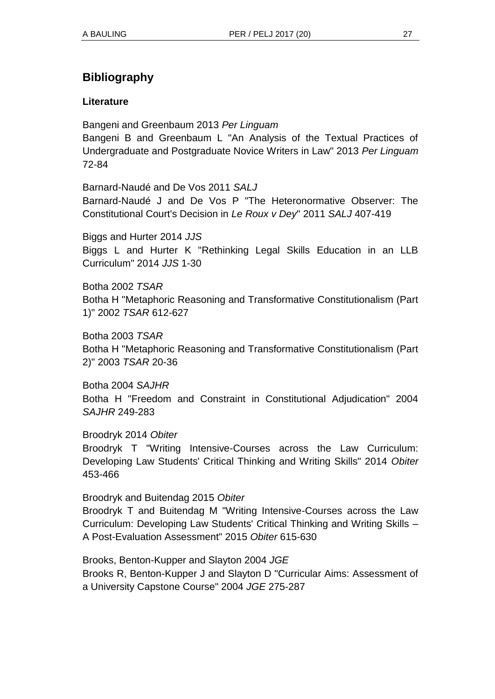# **Bibliography**

### **Literature**

Bangeni and Greenbaum 2013 *Per Linguam*

Bangeni B and Greenbaum L "An Analysis of the Textual Practices of Undergraduate and Postgraduate Novice Writers in Law" 2013 *Per Linguam*  72-84

Barnard-Naudé and De Vos 2011 *SALJ*  Barnard-Naudé J and De Vos P "The Heteronormative Observer: The Constitutional Court's Decision in *Le Roux v Dey*" 2011 *SALJ* 407-419

Biggs and Hurter 2014 *JJS* Biggs L and Hurter K "Rethinking Legal Skills Education in an LLB Curriculum" 2014 *JJS* 1-30

Botha 2002 *TSAR* Botha H "Metaphoric Reasoning and Transformative Constitutionalism (Part 1)" 2002 *TSAR* 612-627

Botha 2003 *TSAR* Botha H "Metaphoric Reasoning and Transformative Constitutionalism (Part 2)" 2003 *TSAR* 20-36

Botha 2004 *SAJHR* Botha H "Freedom and Constraint in Constitutional Adjudication" 2004 *SAJHR* 249-283

#### Broodryk 2014 *Obiter*

Broodryk T "Writing Intensive-Courses across the Law Curriculum: Developing Law Students' Critical Thinking and Writing Skills" 2014 *Obiter*  453-466

#### Broodryk and Buitendag 2015 *Obiter*

Broodryk T and Buitendag M "Writing Intensive-Courses across the Law Curriculum: Developing Law Students' Critical Thinking and Writing Skills – A Post-Evaluation Assessment" 2015 *Obiter* 615-630

Brooks, Benton-Kupper and Slayton 2004 *JGE* Brooks R, Benton-Kupper J and Slayton D "Curricular Aims: Assessment of a University Capstone Course" 2004 *JGE* 275-287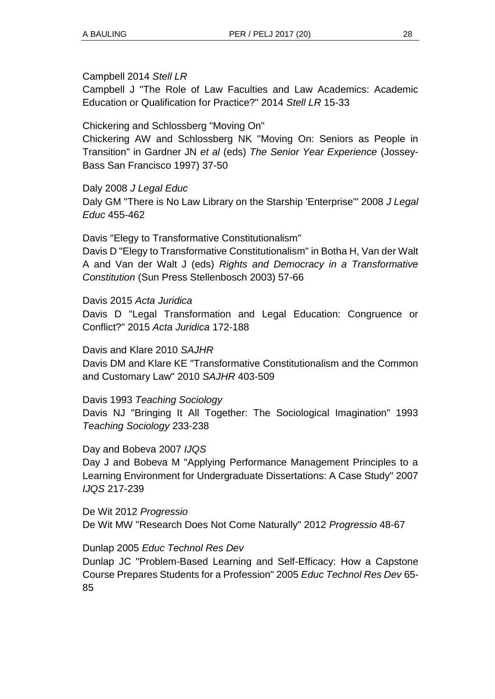#### Campbell 2014 *Stell LR*

Campbell J "The Role of Law Faculties and Law Academics: Academic Education or Qualification for Practice?" 2014 *Stell LR* 15-33

Chickering and Schlossberg "Moving On"

Chickering AW and Schlossberg NK "Moving On: Seniors as People in Transition" in Gardner JN *et al* (eds) *The Senior Year Experience* (Jossey-Bass San Francisco 1997) 37-50

#### Daly 2008 *J Legal Educ*

Daly GM "There is No Law Library on the Starship 'Enterprise'" 2008 *J Legal Educ* 455-462

Davis "Elegy to Transformative Constitutionalism" Davis D "Elegy to Transformative Constitutionalism" in Botha H, Van der Walt A and Van der Walt J (eds) *Rights and Democracy in a Transformative Constitution* (Sun Press Stellenbosch 2003) 57-66

#### Davis 2015 *Acta Juridica*

Davis D "Legal Transformation and Legal Education: Congruence or Conflict?" 2015 *Acta Juridica* 172-188

#### Davis and Klare 2010 *SAJHR*

Davis DM and Klare KE "Transformative Constitutionalism and the Common and Customary Law" 2010 *SAJHR* 403-509

#### Davis 1993 *Teaching Sociology*

Davis NJ "Bringing It All Together: The Sociological Imagination" 1993 *Teaching Sociology* 233-238

#### Day and Bobeva 2007 *IJQS*

Day J and Bobeva M "Applying Performance Management Principles to a Learning Environment for Undergraduate Dissertations: A Case Study" 2007 *IJQS* 217-239

De Wit 2012 *Progressio* De Wit MW "Research Does Not Come Naturally" 2012 *Progressio* 48-67

#### Dunlap 2005 *Educ Technol Res Dev*

Dunlap JC "Problem-Based Learning and Self-Efficacy: How a Capstone Course Prepares Students for a Profession" 2005 *Educ Technol Res Dev* 65- 85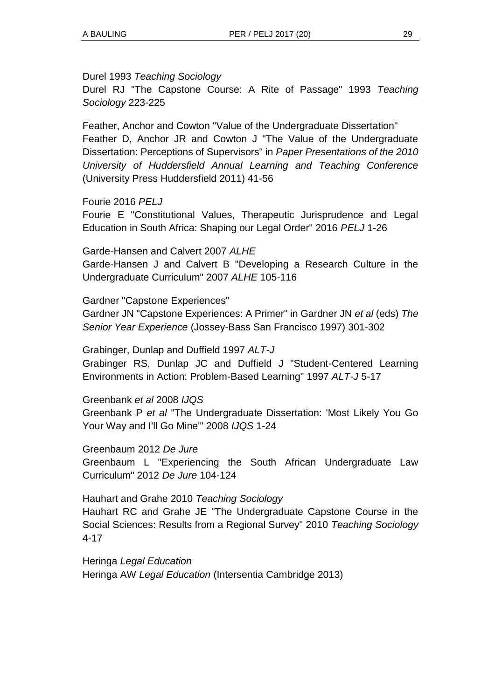Durel 1993 *Teaching Sociology* 

Durel RJ "The Capstone Course: A Rite of Passage" 1993 *Teaching Sociology* 223-225

Feather, Anchor and Cowton "Value of the Undergraduate Dissertation" Feather D, Anchor JR and Cowton J "The Value of the Undergraduate Dissertation: Perceptions of Supervisors" in *Paper Presentations of the 2010 University of Huddersfield Annual Learning and Teaching Conference*  (University Press Huddersfield 2011) 41-56

Fourie 2016 *PELJ*

Fourie E "Constitutional Values, Therapeutic Jurisprudence and Legal Education in South Africa: Shaping our Legal Order" 2016 *PELJ* 1-26

Garde-Hansen and Calvert 2007 *ALHE* Garde-Hansen J and Calvert B "Developing a Research Culture in the Undergraduate Curriculum" 2007 *ALHE* 105-116

Gardner "Capstone Experiences"

Gardner JN "Capstone Experiences: A Primer" in Gardner JN *et al* (eds) *The Senior Year Experience* (Jossey-Bass San Francisco 1997) 301-302

Grabinger, Dunlap and Duffield 1997 *ALT-J* Grabinger RS, Dunlap JC and Duffield J "Student-Centered Learning Environments in Action: Problem-Based Learning" 1997 *ALT-J* 5-17

Greenbank *et al* 2008 *IJQS* Greenbank P *et al* "The Undergraduate Dissertation: 'Most Likely You Go Your Way and I'll Go Mine'" 2008 *IJQS* 1-24

Greenbaum 2012 *De Jure*  Greenbaum L "Experiencing the South African Undergraduate Law Curriculum" 2012 *De Jure* 104-124

Hauhart and Grahe 2010 *Teaching Sociology* Hauhart RC and Grahe JE "The Undergraduate Capstone Course in the Social Sciences: Results from a Regional Survey" 2010 *Teaching Sociology* 4-17

Heringa *Legal Education* Heringa AW *Legal Education* (Intersentia Cambridge 2013)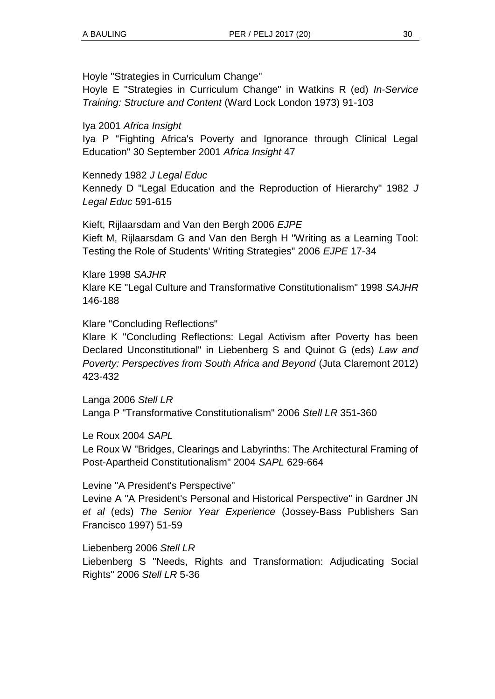Hoyle "Strategies in Curriculum Change"

Hoyle E "Strategies in Curriculum Change" in Watkins R (ed) *In-Service Training: Structure and Content* (Ward Lock London 1973) 91-103

### Iya 2001 *Africa Insight*

Iya P "Fighting Africa's Poverty and Ignorance through Clinical Legal Education" 30 September 2001 *Africa Insight* 47

Kennedy 1982 *J Legal Educ* Kennedy D "Legal Education and the Reproduction of Hierarchy" 1982 *J Legal Educ* 591-615

Kieft, Rijlaarsdam and Van den Bergh 2006 *EJPE*  Kieft M, Rijlaarsdam G and Van den Bergh H "Writing as a Learning Tool: Testing the Role of Students' Writing Strategies" 2006 *EJPE* 17-34

Klare 1998 *SAJHR* Klare KE "Legal Culture and Transformative Constitutionalism" 1998 *SAJHR* 146-188

Klare "Concluding Reflections"

Klare K "Concluding Reflections: Legal Activism after Poverty has been Declared Unconstitutional" in Liebenberg S and Quinot G (eds) *Law and Poverty: Perspectives from South Africa and Beyond (Juta Claremont 2012)* 423-432

Langa 2006 *Stell LR* Langa P "Transformative Constitutionalism" 2006 *Stell LR* 351-360

Le Roux 2004 *SAPL*

Le Roux W "Bridges, Clearings and Labyrinths: The Architectural Framing of Post-Apartheid Constitutionalism" 2004 *SAPL* 629-664

#### Levine "A President's Perspective"

Levine A "A President's Personal and Historical Perspective" in Gardner JN *et al* (eds) *The Senior Year Experience* (Jossey-Bass Publishers San Francisco 1997) 51-59

Liebenberg 2006 *Stell LR*  Liebenberg S "Needs, Rights and Transformation: Adjudicating Social Rights" 2006 *Stell LR* 5-36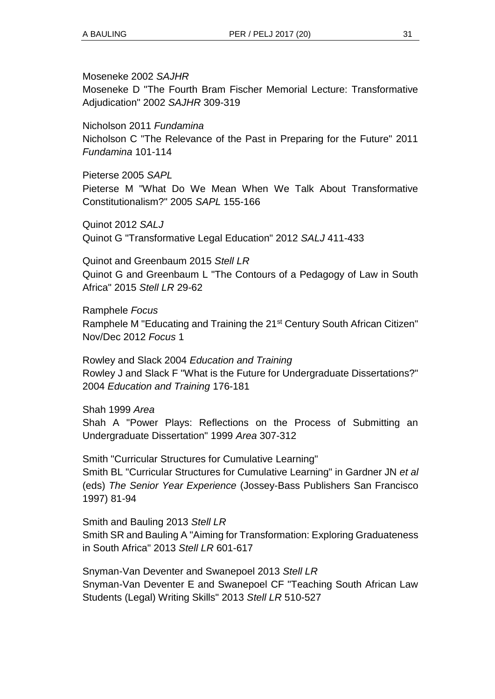Moseneke 2002 *SAJHR*

Moseneke D "The Fourth Bram Fischer Memorial Lecture: Transformative Adjudication" 2002 *SAJHR* 309-319

Nicholson 2011 *Fundamina* Nicholson C "The Relevance of the Past in Preparing for the Future" 2011 *Fundamina* 101-114

Pieterse 2005 *SAPL*  Pieterse M "What Do We Mean When We Talk About Transformative Constitutionalism?" 2005 *SAPL* 155-166

Quinot 2012 *SALJ* Quinot G "Transformative Legal Education" 2012 *SALJ* 411-433

Quinot and Greenbaum 2015 *Stell LR* Quinot G and Greenbaum L "The Contours of a Pedagogy of Law in South Africa" 2015 *Stell LR* 29-62

Ramphele *Focus* Ramphele M "Educating and Training the 21<sup>st</sup> Century South African Citizen" Nov/Dec 2012 *Focus* 1

Rowley and Slack 2004 *Education and Training*  Rowley J and Slack F "What is the Future for Undergraduate Dissertations?" 2004 *Education and Training* 176-181

Shah 1999 *Area* 

Shah A "Power Plays: Reflections on the Process of Submitting an Undergraduate Dissertation" 1999 *Area* 307-312

Smith "Curricular Structures for Cumulative Learning" Smith BL "Curricular Structures for Cumulative Learning" in Gardner JN *et al*  (eds) *The Senior Year Experience* (Jossey-Bass Publishers San Francisco 1997) 81-94

Smith and Bauling 2013 *Stell LR* Smith SR and Bauling A "Aiming for Transformation: Exploring Graduateness in South Africa" 2013 *Stell LR* 601-617

Snyman-Van Deventer and Swanepoel 2013 *Stell LR* Snyman-Van Deventer E and Swanepoel CF "Teaching South African Law Students (Legal) Writing Skills" 2013 *Stell LR* 510-527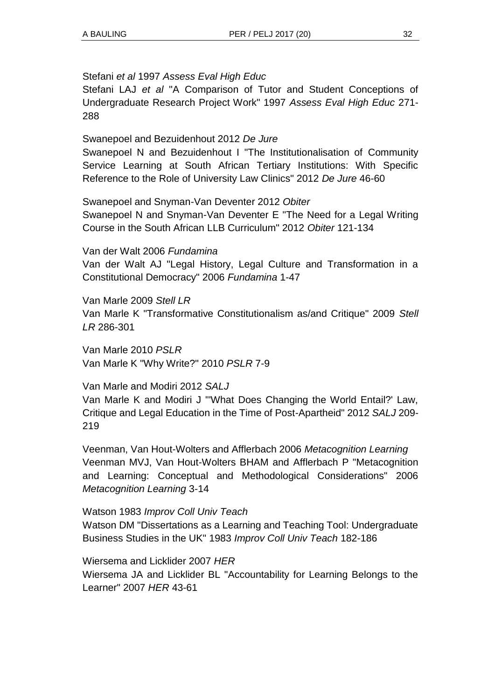#### Stefani *et al* 1997 *Assess Eval High Educ*

Stefani LAJ *et al* "A Comparison of Tutor and Student Conceptions of Undergraduate Research Project Work" 1997 *Assess Eval High Educ* 271- 288

Swanepoel and Bezuidenhout 2012 *De Jure* Swanepoel N and Bezuidenhout I "The Institutionalisation of Community Service Learning at South African Tertiary Institutions: With Specific Reference to the Role of University Law Clinics" 2012 *De Jure* 46-60

Swanepoel and Snyman-Van Deventer 2012 *Obiter*

Swanepoel N and Snyman-Van Deventer E "The Need for a Legal Writing Course in the South African LLB Curriculum" 2012 *Obiter* 121-134

Van der Walt 2006 *Fundamina*  Van der Walt AJ "Legal History, Legal Culture and Transformation in a Constitutional Democracy" 2006 *Fundamina* 1-47

Van Marle 2009 *Stell LR*  Van Marle K "Transformative Constitutionalism as/and Critique" 2009 *Stell LR* 286-301

Van Marle 2010 *PSLR* Van Marle K "Why Write?" 2010 *PSLR* 7-9

Van Marle and Modiri 2012 *SALJ*

Van Marle K and Modiri J "'What Does Changing the World Entail?' Law, Critique and Legal Education in the Time of Post-Apartheid" 2012 *SALJ* 209- 219

Veenman, Van Hout-Wolters and Afflerbach 2006 *Metacognition Learning* Veenman MVJ, Van Hout-Wolters BHAM and Afflerbach P "Metacognition and Learning: Conceptual and Methodological Considerations" 2006 *Metacognition Learning* 3-14

Watson 1983 *Improv Coll Univ Teach*

Watson DM "Dissertations as a Learning and Teaching Tool: Undergraduate Business Studies in the UK" 1983 *Improv Coll Univ Teach* 182-186

Wiersema and Licklider 2007 *HER* Wiersema JA and Licklider BL "Accountability for Learning Belongs to the Learner" 2007 *HER* 43-61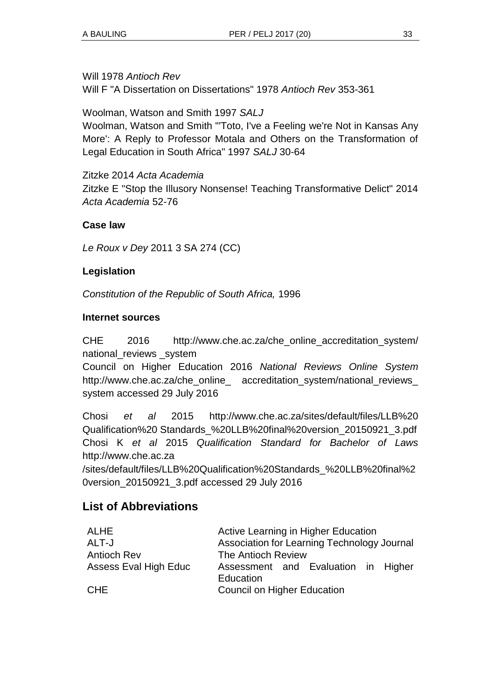Will 1978 *Antioch Rev*

Will F "A Dissertation on Dissertations" 1978 *Antioch Rev* 353-361

Woolman, Watson and Smith 1997 *SALJ*

Woolman, Watson and Smith "'Toto, I've a Feeling we're Not in Kansas Any More': A Reply to Professor Motala and Others on the Transformation of Legal Education in South Africa" 1997 *SALJ* 30-64

Zitzke 2014 *Acta Academia* Zitzke E "Stop the Illusory Nonsense! Teaching Transformative Delict" 2014 *Acta Academia* 52-76

### **Case law**

*Le Roux v Dey* 2011 3 SA 274 (CC)

### **Legislation**

*Constitution of the Republic of South Africa,* 1996

#### **Internet sources**

CHE 2016 http://www.che.ac.za/che\_online\_accreditation\_system/ national\_reviews \_system

Council on Higher Education 2016 *National Reviews Online System*  http://www.che.ac.za/che\_online\_ accreditation\_system/national\_reviews\_ system accessed 29 July 2016

Chosi *et al* 2015 http://www.che.ac.za/sites/default/files/LLB%20 Qualification%20 Standards\_%20LLB%20final%20version\_20150921\_3.pdf Chosi K *et al* 2015 *Qualification Standard for Bachelor of Laws*  http://www.che.ac.za

/sites/default/files/LLB%20Qualification%20Standards\_%20LLB%20final%2 0version\_20150921\_3.pdf accessed 29 July 2016

### **List of Abbreviations**

| ALHE                  | Active Learning in Higher Education              |
|-----------------------|--------------------------------------------------|
| ALT-J                 | Association for Learning Technology Journal      |
| <b>Antioch Rev</b>    | The Antioch Review                               |
| Assess Eval High Educ | Assessment and Evaluation in Higher<br>Education |
| <b>CHE</b>            | <b>Council on Higher Education</b>               |